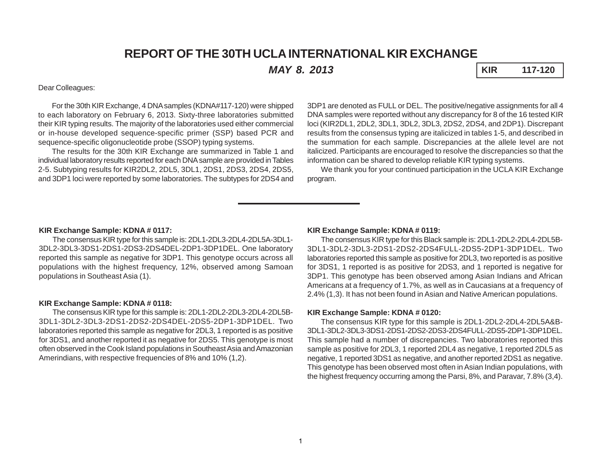# **REPORT OF THE 30TH UCLA INTERNATIONAL KIR EXCHANGE**

*MAY 8. 2013* **KIR 117-120**

### Dear Colleagues:

For the 30th KIR Exchange, 4 DNA samples (KDNA#117-120) were shipped to each laboratory on February 6, 2013. Sixty-three laboratories submitted their KIR typing results. The majority of the laboratories used either commercial or in-house developed sequence-specific primer (SSP) based PCR and sequence-specific oligonucleotide probe (SSOP) typing systems.

The results for the 30th KIR Exchange are summarized in Table 1 and individual laboratory results reported for each DNA sample are provided in Tables 2-5. Subtyping results for KIR2DL2, 2DL5, 3DL1, 2DS1, 2DS3, 2DS4, 2DS5, and 3DP1 loci were reported by some laboratories. The subtypes for 2DS4 and

3DP1 are denoted as FULL or DEL. The positive/negative assignments for all 4 DNA samples were reported without any discrepancy for 8 of the 16 tested KIR loci (KIR2DL1, 2DL2, 3DL1, 3DL2, 3DL3, 2DS2, 2DS4, and 2DP1). Discrepant results from the consensus typing are italicized in tables 1-5, and described in the summation for each sample. Discrepancies at the allele level are not italicized. Participants are encouraged to resolve the discrepancies so that the information can be shared to develop reliable KIR typing systems.

We thank you for your continued participation in the UCLA KIR Exchange program.

#### **KIR Exchange Sample: KDNA # 0117:**

The consensus KIR type for this sample is: 2DL1-2DL3-2DL4-2DL5A-3DL1- 3DL2-3DL3-3DS1-2DS1-2DS3-2DS4DEL-2DP1-3DP1DEL. One laboratory reported this sample as negative for 3DP1. This genotype occurs across all populations with the highest frequency, 12%, observed among Samoan populations in Southeast Asia (1).

#### **KIR Exchange Sample: KDNA # 0118:**

The consensus KIR type for this sample is: 2DL1-2DL2-2DL3-2DL4-2DL5B-3DL1-3DL2-3DL3-2DS1-2DS2-2DS4DEL-2DS5-2DP1-3DP1DEL. Two laboratories reported this sample as negative for 2DL3, 1 reported is as positive for 3DS1, and another reported it as negative for 2DS5. This genotype is most often observed in the Cook Island populations in Southeast Asia and Amazonian Amerindians, with respective frequencies of 8% and 10% (1,2).

#### **KIR Exchange Sample: KDNA # 0119:**

The consensus KIR type for this Black sample is: 2DL1-2DL2-2DL4-2DL5B-3DL1-3DL2-3DL3-2DS1-2DS2-2DS4FULL-2DS5-2DP1-3DP1DEL. Two laboratories reported this sample as positive for 2DL3, two reported is as positive for 3DS1, 1 reported is as positive for 2DS3, and 1 reported is negative for 3DP1. This genotype has been observed among Asian Indians and African Americans at a frequency of 1.7%, as well as in Caucasians at a frequency of 2.4% (1,3). It has not been found in Asian and Native American populations.

#### **KIR Exchange Sample: KDNA # 0120:**

The consensus KIR type for this sample is 2DL1-2DL2-2DL4-2DL5A&B-3DL1-3DL2-3DL3-3DS1-2DS1-2DS2-2DS3-2DS4FULL-2DS5-2DP1-3DP1DEL. This sample had a number of discrepancies. Two laboratories reported this sample as positive for 2DL3, 1 reported 2DL4 as negative, 1 reported 2DL5 as negative, 1 reported 3DS1 as negative, and another reported 2DS1 as negative. This genotype has been observed most often in Asian Indian populations, with the highest frequency occurring among the Parsi, 8%, and Paravar, 7.8% (3,4).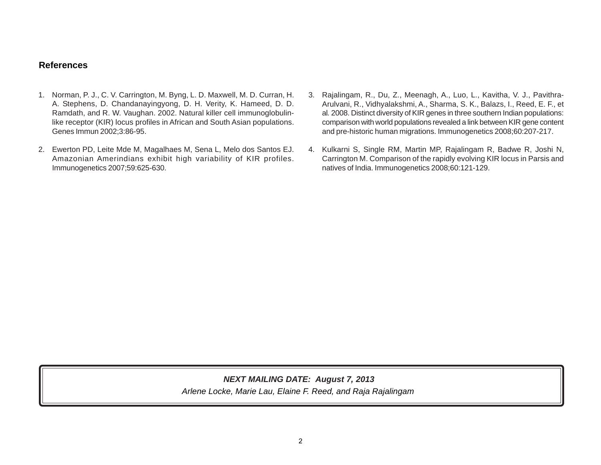# **References**

- 1. Norman, P. J., C. V. Carrington, M. Byng, L. D. Maxwell, M. D. Curran, H. A. Stephens, D. Chandanayingyong, D. H. Verity, K. Hameed, D. D. Ramdath, and R. W. Vaughan. 2002. Natural killer cell immunoglobulinlike receptor (KIR) locus profiles in African and South Asian populations. Genes Immun 2002;3:86-95.
- 2. Ewerton PD, Leite Mde M, Magalhaes M, Sena L, Melo dos Santos EJ. Amazonian Amerindians exhibit high variability of KIR profiles. Immunogenetics 2007;59:625-630.
- 3. Rajalingam, R., Du, Z., Meenagh, A., Luo, L., Kavitha, V. J., Pavithra-Arulvani, R., Vidhyalakshmi, A., Sharma, S. K., Balazs, I., Reed, E. F., et al*.* 2008. Distinct diversity of KIR genes in three southern Indian populations: comparison with world populations revealed a link between KIR gene content and pre-historic human migrations. Immunogenetics 2008;60:207-217.
- 4. Kulkarni S, Single RM, Martin MP, Rajalingam R, Badwe R, Joshi N, Carrington M. Comparison of the rapidly evolving KIR locus in Parsis and natives of India. Immunogenetics 2008;60:121-129.

*Arlene Locke, Marie Lau, Elaine F. Reed, and Raja Rajalingam NEXT MAILING DATE: August 7, 2013*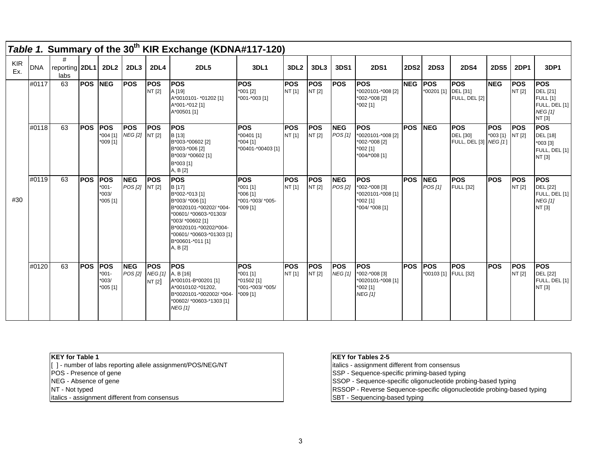|                   |            |                        |                |                                                  |                              |                                        | Table 1. Summary of the 30 <sup>th</sup> KIR Exchange (KDNA#117-120)                                                                                                                                                       |                                                                          |                      |                       |                              |                                                                                  |             |                                     |                                                         |                          |                       |                                                                                        |
|-------------------|------------|------------------------|----------------|--------------------------------------------------|------------------------------|----------------------------------------|----------------------------------------------------------------------------------------------------------------------------------------------------------------------------------------------------------------------------|--------------------------------------------------------------------------|----------------------|-----------------------|------------------------------|----------------------------------------------------------------------------------|-------------|-------------------------------------|---------------------------------------------------------|--------------------------|-----------------------|----------------------------------------------------------------------------------------|
| <b>KIR</b><br>Ex. | <b>DNA</b> | reporting 2DL1<br>labs |                | <b>2DL2</b>                                      | 2DL3                         | <b>2DL4</b>                            | <b>2DL5</b>                                                                                                                                                                                                                | 3DL1                                                                     | 3DL <sub>2</sub>     | 3DL3                  | 3DS1                         | <b>2DS1</b>                                                                      | <b>2DS2</b> | <b>2DS3</b>                         | <b>2DS4</b>                                             | <b>2DS5</b>              | <b>2DP1</b>           | 3DP1                                                                                   |
|                   | #0117      | 63                     | <b>POS NEG</b> |                                                  | <b>POS</b>                   | <b>POS</b><br>NT [2]                   | <b>POS</b><br>A [19]<br>A*0010101- *01202 [1]<br>A*001-*012 [1]<br>A*00501 [1]                                                                                                                                             | <b>POS</b><br>*001 [2]<br>*001-*003 [1]                                  | <b>POS</b><br>NT [1] | <b>POS</b><br>NT [2]  | <b>POS</b>                   | <b>POS</b><br>*0020101-*008 [2]<br>*002-*008 [2]<br>$*002$ [1]                   | NEG POS     | *00201 [1] DEL [31]                 | <b>POS</b><br>FULL, DEL [2]                             | <b>NEG</b>               | <b>IPOS</b><br>NT [2] | <b>POS</b><br>DEL [21]<br><b>FULL</b> [1]<br>FULL, DEL [1]<br><b>NEG [1]</b><br>NT [3] |
|                   | #0118      | 63                     | <b>POS</b>     | <b>POS</b><br>$*004$ [1]<br>*009 [1]             | <b>POS</b><br><b>NEG</b> [2] | <b>POS</b><br>NT [2]                   | <b>POS</b><br>B [13]<br>B*003-*00602 [2]<br>B*003-*006 [2]<br>B*003/ *00602 [1]<br>B*003 [1]<br>A, B [2]                                                                                                                   | <b>POS</b><br>*00401 [1]<br>$*004$ [1]<br>*00401-*00403 [1]              | <b>POS</b><br>NT [1] | <b>POS</b><br>NT [2]  | <b>NEG</b><br>POS[1]         | <b>POS</b><br>*0020101-*008 [2]<br>*002-*008 [2]<br>*002 [1]<br>*004/*008 [1]    | <b>POS</b>  | <b>INEG</b>                         | <b>IPOS</b><br><b>DEL</b> [30]<br>FULL, DEL [3] NEG [1] | <b>POS</b><br>$*003$ [1} | <b>IPOS</b><br>NT [2] | <b>POS</b><br><b>DEL</b> [18]<br>*003 [3]<br>FULL, DEL [1]<br>NT [3]                   |
| #30               | #0119      | 63                     | <b>POS</b>     | <b>IPOS</b><br>$*001 -$<br>$*003/$<br>$*005$ [1] | <b>NEG</b><br>POS [2]        | <b>POS</b><br>NT [2]                   | <b>IPOS</b><br>B [17]<br>B*002-*013 [1]<br>B*003/ *006 [1]<br>B*0020101-*00202/ *004-<br>*00601/ *00603-*01303/<br>*003/ *00602 [1]<br>B*0020101-*00202/*004-<br>*00601/ *00603-*01303 [1]<br>B*00601-*011 [1]<br>A, B [2] | <b>POS</b><br>$*001$ [1]<br>$*006$ [1]<br>*001-*003/ *005-<br>$*009$ [1] | <b>POS</b><br>NT [1] | <b>IPOS</b><br>NT [2] | <b>NEG</b><br>POS [2]        | <b>POS</b><br>*002-*008 [3]<br>*0020101-*008 [1]<br>$*002$ [1]<br>*004/ *008 [1] | <b>POS</b>  | <b>INEG</b><br>POS [1]              | <b>POS</b><br><b>FULL</b> [32]                          | <b>POS</b>               | <b>IPOS</b><br>NT [2] | <b>POS</b><br><b>DEL [22]</b><br>FULL, DEL [1]<br><b>NEG [1]</b><br>NT [3]             |
|                   | #0120      | 63                     | <b>IPOS</b>    | <b>POS</b><br>$*001 -$<br>$*003/$<br>*005 [1]    | <b>NEG</b><br><b>POS [2]</b> | <b>POS</b><br><b>NEG [1]</b><br>NT [2] | <b>Fos</b><br>A, B [16]<br>A*00101-B*00201 [1]<br>A*0010102-*01202,<br>B*0020101-*002002/ *004-<br>*00602/ *00603-*1303 [1]<br><b>NEG [1]</b>                                                                              | <b>POS</b><br>$*001$ [1]<br>*01502 [1]<br>*001-*003/ *005/<br>$*009$ [1] | <b>POS</b><br>NT [1] | <b>IPOS</b><br>NT [2] | <b>POS</b><br><b>NEG [1]</b> | <b>IPOS</b><br>*002-*008 [3]<br>*0020101-*008 [1]<br>*002 [1]<br><b>NEG</b> [1]  | <b>POS</b>  | <b>IPOS</b><br>*00103 [1] FULL [32] | <b>IPOS</b>                                             | <b>POS</b>               | <b>POS</b><br>NT [2]  | <b>POS</b><br><b>DEL [22]</b><br>FULL, DEL [1]<br>NT [3]                               |

## **KEY for Table 1**

[ ] - number of labs reporting allele assignment/POS/NEG/NT

NEG - Absence of gene

NT - Not typed

italics - assignment different from consensus

### **KEY for Tables 2-5**

italics - assignment different from consensus POS - Presence of gene SSOP - Sequence-specific oligonucleotide probing-based typing SBT - Sequencing-based typing RSSOP - Reverse Sequence-specific oligonucleotide probing-based typing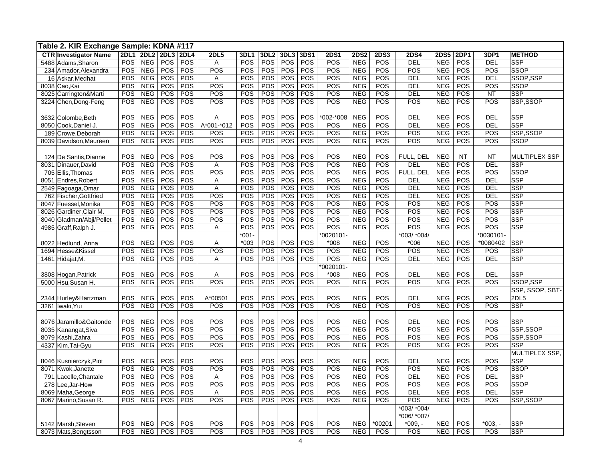|      | Table 2. KIR Exchange Sample: KDNA #117 |            |                     |            |            |                |            |                  |            |            |             |             |             |             |             |             |              |                 |
|------|-----------------------------------------|------------|---------------------|------------|------------|----------------|------------|------------------|------------|------------|-------------|-------------|-------------|-------------|-------------|-------------|--------------|-----------------|
|      | <b>CTR Investigator Name</b>            |            | 2DL1 2DL2 2DL3 2DL4 |            |            | <b>2DL5</b>    | 3DL1       | 3DL <sub>2</sub> | 3DL3       | 3DS1       | <b>2DS1</b> | <b>2DS2</b> | <b>2DS3</b> | <b>2DS4</b> | <b>2DS5</b> | <b>2DP1</b> | 3DP1         | <b>METHOD</b>   |
|      | 5488 Adams, Sharon                      | POS        | <b>NEG</b>          | <b>POS</b> | POS        | A              | POS        | POS              | <b>POS</b> | POS        | POS         | <b>NEG</b>  | POS         | <b>DEL</b>  | <b>NEG</b>  | POS         | <b>DEL</b>   | <b>SSP</b>      |
| 234  | Amador, Alexandra                       | POS        | <b>NEG</b>          | POS        | POS        | POS            | POS        | POS              | POS        | POS        | POS         | <b>NEG</b>  | POS         | POS         | <b>NEG</b>  | POS         | POS          | <b>SSOP</b>     |
|      | 16 Askar, Medhat                        | POS        | <b>NEG</b>          | POS        | POS        | $\overline{A}$ | POS        | POS              | POS        | POS        | POS         | <b>NEG</b>  | POS         | <b>DEL</b>  | <b>NEG</b>  | POS         | <b>DEL</b>   | SSOP,SSP        |
|      | 8038 Cao, Kai                           | POS        | <b>NEG</b>          | POS        | POS        | POS            | POS        | POS              | <b>POS</b> | POS        | POS         | <b>NEG</b>  | POS         | <b>DEL</b>  | <b>NEG</b>  | POS         | POS          | <b>SSOP</b>     |
|      | 8025 Carrington&Marti                   | POS        | <b>NEG</b>          | POS        | POS        | POS            | POS        | POS              | POS        | POS        | POS         | <b>NEG</b>  | POS         | <b>DEL</b>  | <b>NEG</b>  | POS         | <b>NT</b>    | <b>SSP</b>      |
| 3224 | Chen, Dong-Feng                         | POS        | <b>NEG</b>          | <b>POS</b> | POS        | POS            | POS        | <b>POS</b>       | POS        | POS        | POS         | <b>NEG</b>  | POS         | POS         | <b>NEG</b>  | <b>POS</b>  | POS          | SSP,SSOP        |
|      |                                         |            |                     |            |            |                |            |                  |            |            |             |             |             |             |             |             |              |                 |
|      | 3632 Colombe, Beth                      | <b>POS</b> | <b>NEG</b>          | POS        | POS        | Α              | POS        | POS              | POS        | POS        | 002-*008    | <b>NEG</b>  | POS         | <b>DEL</b>  | <b>NEG</b>  | POS         | <b>DEL</b>   | <b>SSP</b>      |
|      | 8050 Cook, Daniel J.                    | POS        | <b>NEG</b>          | <b>POS</b> | POS        | A*001-*012     | POS        | POS              | POS        | POS        | POS         | <b>NEG</b>  | POS         | <b>DEL</b>  | <b>NEG</b>  | POS         | <b>DEL</b>   | SSP             |
|      | 189 Crowe, Deborah                      | POS        | <b>NEG</b>          | <b>POS</b> | POS        | POS            | POS        | POS              | <b>POS</b> | POS        | POS         | <b>NEG</b>  | POS         | POS         | <b>NEG</b>  | <b>POS</b>  | POS          | SSP, SSOP       |
|      | 8039 Davidson, Maureen                  | <b>POS</b> | <b>NEG</b>          | <b>POS</b> | POS        | POS            | POS        | POS              | <b>POS</b> | POS        | POS         | <b>NEG</b>  | POS         | POS         | <b>NEG</b>  | <b>POS</b>  | POS          | <b>SSOP</b>     |
|      |                                         |            |                     |            |            |                |            |                  |            |            |             |             |             |             |             |             |              |                 |
|      | 124 De Santis, Dianne                   | <b>POS</b> | <b>NEG</b>          | POS        | POS        | POS            | <b>POS</b> | POS              | <b>POS</b> | POS        | POS         | <b>NEG</b>  | POS         | FULL. DEL   | <b>NEG</b>  | <b>NT</b>   | <b>NT</b>    | MULTIPLEX SSP   |
| 8031 | Dinauer, David                          | POS        | <b>NEG</b>          | POS        | POS        | $\overline{A}$ | POS        | POS              | <b>POS</b> | POS        | POS         | <b>NEG</b>  | POS         | DEL         | <b>NEG</b>  | POS         | <b>DEL</b>   | <b>SSP</b>      |
|      | 705 Ellis, Thomas                       | POS        | <b>NEG</b>          | POS        | POS        | POS            | POS        | POS              | <b>POS</b> | POS        | POS         | <b>NEG</b>  | POS         | FULL. DEL   | <b>NEG</b>  | POS         | POS          | <b>SSOP</b>     |
| 8051 | Endres, Robert                          | <b>POS</b> | <b>NEG</b>          | <b>POS</b> | POS        | A              | POS        | POS              | POS        | POS        | POS         | <b>NEG</b>  | POS         | <b>DEL</b>  | <b>NEG</b>  | POS         | <b>DEL</b>   | <b>SSP</b>      |
|      | 2549 Fagoaga, Omar                      | POS        | <b>NEG</b>          | POS        | POS        | $\overline{A}$ | POS        | POS              | <b>POS</b> | POS        | POS         | <b>NEG</b>  | POS         | <b>DEL</b>  | <b>NEG</b>  | POS         | <b>DEL</b>   | <b>SSP</b>      |
|      | 762 Fischer, Gottfried                  | POS        | <b>NEG</b>          | <b>POS</b> | POS        | POS            | POS        | POS              | POS        | POS        | POS         | <b>NEG</b>  | POS         | <b>DEL</b>  | <b>NEG</b>  | POS         | <b>DEL</b>   | <b>SSP</b>      |
|      | 8047 Fuessel, Monika                    | POS        | <b>NEG</b>          | <b>POS</b> | POS        | POS            | POS        | POS              | POS        | POS        | POS         | <b>NEG</b>  | POS         | POS         | <b>NEG</b>  | POS         | POS          | <b>SSP</b>      |
| 8026 | Gardiner, Clair M.                      | POS        | <b>NEG</b>          | <b>POS</b> | POS        | POS            | POS        | POS              | <b>POS</b> | POS        | POS         | <b>NEG</b>  | POS         | POS         | <b>NEG</b>  | <b>POS</b>  | POS          | <b>SSP</b>      |
| 8040 | Gladman/Abji/Pellet                     | POS        | <b>NEG</b>          | POS        | POS        | POS            | POS        | POS              | POS        | POS        | POS         | <b>NEG</b>  | POS         | POS         | <b>NEG</b>  | <b>POS</b>  | POS          | SSP             |
| 4985 | Graff, Ralph J.                         | POS        | <b>NEG</b>          | POS        | POS        | A              | POS        | POS              | POS        | POS        | POS         | <b>NEG</b>  | POS         | POS         | <b>NEG</b>  | POS         | POS          | <b>SSP</b>      |
|      |                                         |            |                     |            |            |                | $*001-$    |                  |            |            | 0020101     |             |             | *003/ *004/ |             |             | $*0030101 -$ |                 |
|      | 8022 Hedlund, Anna                      | POS        | <b>NEG</b>          | <b>POS</b> | POS        | A              | $*003$     | POS              | POS        | POS        | $*008$      | <b>NEG</b>  | POS         | $*006$      | <b>NEG</b>  | POS         | *0080402     | <b>SSP</b>      |
| 1694 | Hesse&Kissel                            | POS        | <b>NEG</b>          | POS        | POS        | POS            | POS        | POS              | POS        | POS        | POS         | <b>NEG</b>  | POS         | POS         | <b>NEG</b>  | POS         | POS          | <b>SSP</b>      |
| 1461 | Hidajat, M.                             | POS        | <b>NEG</b>          | <b>POS</b> | POS        | A              | POS        | POS              | POS        | POS        | POS         | <b>NEG</b>  | POS         | <b>DEL</b>  | <b>NEG</b>  | POS         | <b>DEL</b>   | <b>SSP</b>      |
|      |                                         |            |                     |            |            |                |            |                  |            |            | 0020101     |             |             |             |             |             |              |                 |
|      | 3808 Hogan, Patrick                     | POS        | <b>NEG</b>          | POS        | POS        | Α              | POS        | POS              | POS        | POS        | $*008$      | <b>NEG</b>  | POS         | <b>DEL</b>  | <b>NEG</b>  | POS         | <b>DEL</b>   | <b>SSP</b>      |
|      | 5000 Hsu, Susan H.                      | POS        | <b>NEG</b>          | POS        | POS        | POS            | POS        | POS              | POS        | POS        | POS         | <b>NEG</b>  | POS         | POS         | <b>NEG</b>  | POS         | POS          | SSOP.SSP        |
|      |                                         |            |                     |            |            |                |            |                  |            |            |             |             |             |             |             |             |              | SSP, SSOP, SBT- |
| 2344 | Hurley&Hartzman                         | POS        | <b>NEG</b>          | POS        | POS        | A*00501        | POS        | POS              | POS        | POS        | POS         | <b>NEG</b>  | POS         | <b>DEL</b>  | <b>NEG</b>  | POS         | POS          | 2DL5            |
| 3261 | Iwaki, Yui                              | POS        | <b>NEG</b>          | POS        | POS        | POS            | POS        | POS              | POS        | POS        | POS         | <b>NEG</b>  | POS         | POS         | <b>NEG</b>  | POS         | POS          | <b>SSP</b>      |
|      |                                         |            |                     |            |            |                |            |                  |            |            |             |             |             |             |             |             |              |                 |
|      | 8076 Jaramillo& Gaitonde                | POS        | <b>NEG</b>          | <b>POS</b> | <b>POS</b> | POS            | <b>POS</b> | POS              | <b>POS</b> | <b>POS</b> | POS         | <b>NEG</b>  | POS         | <b>DEL</b>  | <b>NEG</b>  | POS         | POS          | <b>SSP</b>      |
|      | 8035 Kanangat, Siva                     | POS        | <b>NEG</b>          | POS        | POS        | POS            | POS        | POS              | <b>POS</b> | POS        | POS         | <b>NEG</b>  | POS         | POS         | <b>NEG</b>  | POS         | POS          | SSP,SSOP        |
|      | 8079 Kashi, Zahra                       | POS        | <b>NEG</b>          | POS        | POS        | POS            | POS        | POS              | <b>POS</b> | POS        | POS         | <b>NEG</b>  | POS         | POS         | <b>NEG</b>  | <b>POS</b>  | POS          | SSP,SSOP        |
|      | 4337 Kim, Tai-Gyu                       | <b>POS</b> | <b>NEG</b>          | <b>POS</b> | POS        | POS            | POS        | POS              | <b>POS</b> | POS        | POS         | <b>NEG</b>  | POS         | POS         | <b>NEG</b>  | POS         | POS          | <b>SSP</b>      |
|      |                                         |            |                     |            |            |                |            |                  |            |            |             |             |             |             |             |             |              | MULTIPLEX SSP,  |
|      | 8046 Kusnierczyk, Piot                  | POS        | <b>NEG</b>          | POS        | POS        | POS            | POS        | POS              | <b>POS</b> | POS        | POS         | <b>NEG</b>  | POS         | <b>DEL</b>  | <b>NEG</b>  | POS         | POS          | <b>SSP</b>      |
|      | 8071 Kwok, Janette                      | POS        | <b>NEG</b>          | <b>POS</b> | POS        | POS            | POS        | POS              | <b>POS</b> | POS        | POS         | <b>NEG</b>  | POS         | POS         | <b>NEG</b>  | POS         | POS          | <b>SSOP</b>     |
| 791  | Lacelle, Chantale                       | POS        | <b>NEG</b>          | <b>POS</b> | POS        | $\overline{A}$ | POS        | POS              | <b>POS</b> | POS        | POS         | <b>NEG</b>  | POS         | <b>DEL</b>  | <b>NEG</b>  | POS         | <b>DEL</b>   | <b>SSP</b>      |
|      | 278 Lee, Jar-How                        | <b>POS</b> | <b>NEG</b>          | POS        | POS        | POS            | POS        | POS              | <b>POS</b> | POS        | POS         | <b>NEG</b>  | POS         | POS         | <b>NEG</b>  | POS         | POS          | <b>SSOP</b>     |
|      | 8069 Maha, George                       | POS        | <b>NEG</b>          | POS        | POS        | A              | POS        | POS              | <b>POS</b> | <b>POS</b> | POS         | <b>NEG</b>  | POS         | <b>DEL</b>  | <b>NEG</b>  | POS         | <b>DEL</b>   | <b>SSP</b>      |
|      | 8067 Marino, Susan R.                   | POS        | <b>NEG</b>          | POS        | POS        | POS            | POS        | POS              | POS        | POS        | POS         | <b>NEG</b>  | POS         | POS         | <b>NEG</b>  | POS         | POS          | SSP,SSOP        |
|      |                                         |            |                     |            |            |                |            |                  |            |            |             |             |             | *003/ *004/ |             |             |              |                 |
|      |                                         |            |                     |            |            |                |            |                  |            |            |             |             |             | *006/ *007/ |             |             |              |                 |
|      | 5142 Marsh, Steven                      | POS        | <b>NEG</b>          | POS        | POS        | POS            | <b>POS</b> | POS              | POS        | POS        | POS         | <b>NEG</b>  | *00201      | $*009, -$   | <b>NEG</b>  | POS         | $*003. -$    | <b>SSP</b>      |
|      | 8073 Mats, Bengtsson                    | POS        | <b>NEG</b>          | POS        | POS        | POS            | <b>POS</b> | POS              | <b>POS</b> | POS        | POS         | <b>NEG</b>  | POS         | POS         | <b>NEG</b>  | POS         | POS          | SSP             |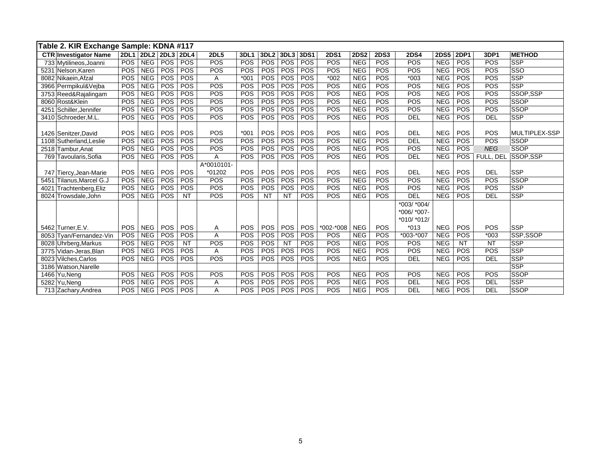|      | Table 2. KIR Exchange Sample: KDNA #117 |            |            |                     |            |             |             |                  |            |      |             |             |             |             |             |             |            |               |
|------|-----------------------------------------|------------|------------|---------------------|------------|-------------|-------------|------------------|------------|------|-------------|-------------|-------------|-------------|-------------|-------------|------------|---------------|
|      | <b>CTR Investigator Name</b>            |            |            | 2DL1 2DL2 2DL3 2DL4 |            | <b>2DL5</b> | <b>3DL1</b> | 3DL <sub>2</sub> | 3DL3       | 3DS1 | <b>2DS1</b> | <b>2DS2</b> | <b>2DS3</b> | <b>2DS4</b> | <b>2DS5</b> | <b>2DP1</b> | 3DP1       | <b>METHOD</b> |
|      | 733 Mytilineos, Joanni                  | POS        | <b>NEG</b> | POS                 | POS        | POS         | <b>POS</b>  | POS              | POS        | POS  | POS         | <b>NEG</b>  | POS         | POS         | <b>NEG</b>  | POS         | POS        | <b>SSP</b>    |
|      | 5231 Nelson, Karen                      | POS        | <b>NEG</b> | POS                 | POS        | POS         | POS         | POS              | POS        | POS  | POS         | <b>NEG</b>  | POS         | POS         | <b>NEG</b>  | POS         | POS        | SSO           |
|      | 8082 Nikaein, Afzal                     | POS        | <b>NEG</b> | POS                 | POS        | Α           | $*001$      | POS              | POS        | POS  | $*002$      | <b>NEG</b>  | POS         | $*003$      | <b>NEG</b>  | POS         | POS        | <b>SSP</b>    |
|      | 3966 Permpikul&Vejba                    | <b>POS</b> | <b>NEG</b> | <b>POS</b>          | POS        | POS         | POS         | <b>POS</b>       | POS        | POS  | POS         | <b>NEG</b>  | POS         | POS         | <b>NEG</b>  | POS         | POS        | <b>SSP</b>    |
|      | 3753 Reed&Rajalingam                    | POS        | <b>NEG</b> | POS                 | POS        | POS         | POS         | POS              | POS        | POS  | POS         | <b>NEG</b>  | POS         | POS         | <b>NEG</b>  | POS         | POS        | SSOP.SSP      |
|      | 8060 Rost&Klein                         | POS        | <b>NEG</b> | POS                 | POS        | POS         | POS         | POS              | POS        | POS  | POS         | <b>NEG</b>  | POS         | POS         | <b>NEG</b>  | POS         | POS        | <b>SSOP</b>   |
| 4251 | Schiller, Jennifer                      | POS        | <b>NEG</b> | POS                 | <b>POS</b> | POS         | POS         | <b>POS</b>       | POS        | POS  | POS         | <b>NEG</b>  | POS         | POS         | <b>NEG</b>  | POS         | POS        | <b>SSOP</b>   |
|      | 3410 Schroeder, M.L.                    | POS        | <b>NEG</b> | <b>POS</b>          | <b>POS</b> | POS         | <b>POS</b>  | POS              | <b>POS</b> | POS  | POS         | <b>NEG</b>  | POS         | DEL         | <b>NEG</b>  | POS         | <b>DEL</b> | <b>SSP</b>    |
|      |                                         |            |            |                     |            |             |             |                  |            |      |             |             |             |             |             |             |            |               |
|      | 1426 Senitzer David                     | POS        | <b>NEG</b> | POS                 | <b>POS</b> | POS         | $*001$      | <b>POS</b>       | <b>POS</b> | POS  | POS         | <b>NEG</b>  | POS         | <b>DEL</b>  | <b>NEG</b>  | POS         | POS        | MULTIPLEX-SSP |
| 1108 | Sutherland, Leslie                      | POS        | <b>NEG</b> | POS                 | POS        | POS         | POS         | POS              | POS        | POS  | POS         | <b>NEG</b>  | POS         | DEL         | <b>NEG</b>  | POS         | POS        | <b>SSOP</b>   |
| 2518 | Tambur, Anat                            | POS        | <b>NEG</b> | POS                 | POS        | POS         | POS         | POS              | POS        | POS  | POS         | <b>NEG</b>  | POS         | POS         | <b>NEG</b>  | POS         | <b>NEG</b> | <b>SSOP</b>   |
|      | 769 Tavoularis, Sofia                   | POS        | <b>NEG</b> | POS                 | POS        | Α           | POS         | POS              | POS        | POS  | POS         | <b>NEG</b>  | POS         | <b>DEL</b>  | <b>NEG</b>  | <b>POS</b>  | FULL, DEL  | SSOP.SSP      |
|      |                                         |            |            |                     |            | A*0010101-  |             |                  |            |      |             |             |             |             |             |             |            |               |
|      | 747 Tiercy, Jean-Marie                  | POS        | <b>NEG</b> | POS                 | POS        | *01202      | <b>POS</b>  | POS              | POS        | POS  | POS         | <b>NEG</b>  | POS         | <b>DEL</b>  | <b>NEG</b>  | POS         | <b>DEL</b> | <b>SSP</b>    |
| 5451 | Tilanus, Marcel G.J                     | POS        | <b>NEG</b> | POS                 | POS        | POS         | POS         | <b>POS</b>       | POS        | POS  | POS         | <b>NEG</b>  | POS         | POS         | <b>NEG</b>  | POS         | POS        | <b>SSOP</b>   |
| 4021 | Trachtenberg, Eliz                      | POS        | <b>NEG</b> | POS                 | <b>POS</b> | POS         | POS         | POS              | <b>POS</b> | POS  | POS         | <b>NEG</b>  | POS         | POS         | <b>NEG</b>  | <b>POS</b>  | POS        | SSP           |
|      | 8024 Trowsdale, John                    | POS        | <b>NEG</b> | POS                 | <b>NT</b>  | POS         | POS         | <b>NT</b>        | <b>NT</b>  | POS  | POS         | <b>NEG</b>  | POS         | <b>DEL</b>  | <b>NEG</b>  | POS         | <b>DEL</b> | <b>SSP</b>    |
|      |                                         |            |            |                     |            |             |             |                  |            |      |             |             |             | *003/ *004/ |             |             |            |               |
|      |                                         |            |            |                     |            |             |             |                  |            |      |             |             |             | *006/ *007- |             |             |            |               |
|      |                                         |            |            |                     |            |             |             |                  |            |      |             |             |             | *010/ *012/ |             |             |            |               |
|      | 5462 Turner, E.V.                       | POS        | <b>NEG</b> | POS                 | POS        | Α           | <b>POS</b>  | <b>POS</b>       | <b>POS</b> | POS  | *002-*008   | <b>NEG</b>  | POS         | $*013$      | <b>NEG</b>  | POS         | POS        | <b>SSP</b>    |
|      | 8053 Tyan/Fernandez-Vin                 | POS        | <b>NEG</b> | <b>POS</b>          | <b>POS</b> | A           | <b>POS</b>  | <b>POS</b>       | <b>POS</b> | POS  | POS         | <b>NEG</b>  | POS         | *003-*007   | <b>NEG</b>  | POS         | $*003$     | SSP.SSOP      |
|      | 8028 Uhrberg, Markus                    | POS        | <b>NEG</b> | POS                 | <b>NT</b>  | POS         | POS         | POS              | <b>NT</b>  | POS  | POS         | <b>NEG</b>  | POS         | POS         | <b>NEG</b>  | <b>NT</b>   | <b>NT</b>  | <b>SSP</b>    |
| 3775 | Vidan-Jeras.Blan                        | POS        | <b>NEG</b> | POS                 | POS        | Α           | POS         | POS              | POS        | POS  | POS         | <b>NEG</b>  | POS         | POS         | <b>NEG</b>  | <b>POS</b>  | POS        | <b>SSP</b>    |
| 8023 | <b>Vilches, Carlos</b>                  | POS        | <b>NEG</b> | <b>POS</b>          | POS        | POS         | POS         | <b>POS</b>       | <b>POS</b> | POS  | POS         | <b>NEG</b>  | POS         | DEL         | <b>NEG</b>  | <b>POS</b>  | <b>DEL</b> | <b>SSP</b>    |
|      | 3186 Watson, Narelle                    |            |            |                     |            |             |             |                  |            |      |             |             |             |             |             |             |            | <b>SSP</b>    |
|      | 1466 Yu.Nena                            | POS        | <b>NEG</b> | POS                 | POS        | POS         | POS         | POS              | POS        | POS  | POS         | <b>NEG</b>  | POS         | POS         | <b>NEG</b>  | POS         | POS        | <b>SSOP</b>   |
|      | 5282 Yu, Neng                           | POS        | <b>NEG</b> | POS                 | POS        | Α           | POS         | POS              | POS        | POS  | POS         | <b>NEG</b>  | POS         | <b>DEL</b>  | <b>NEG</b>  | POS         | <b>DEL</b> | <b>SSP</b>    |
|      | 713 Zachary, Andrea                     | POS        | <b>NEG</b> | <b>POS</b>          | <b>POS</b> | A           | POS         | <b>POS</b>       | <b>POS</b> | POS  | POS         | <b>NEG</b>  | POS         | <b>DEL</b>  | <b>NEG</b>  | <b>POS</b>  | <b>DEL</b> | <b>SSOP</b>   |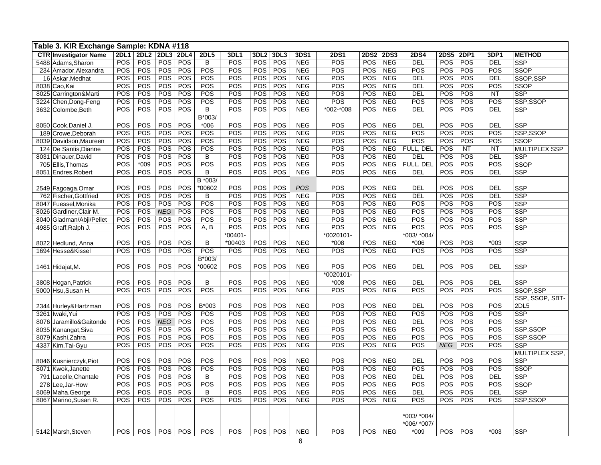| Table 3. KIR Exchange Sample: KDNA #118 |             |             |            |            |                |            |                  |            |             |              |             |             |             |             |           |            |                 |
|-----------------------------------------|-------------|-------------|------------|------------|----------------|------------|------------------|------------|-------------|--------------|-------------|-------------|-------------|-------------|-----------|------------|-----------------|
| <b>CTR Investigator Name</b>            | <b>2DL1</b> | <b>2DL2</b> | 2DL3 2DL4  |            | <b>2DL5</b>    | 3DL1       | 3DL <sub>2</sub> | 3DL3       | <b>3DS1</b> | <b>2DS1</b>  | <b>2DS2</b> | <b>2DS3</b> | <b>2DS4</b> | <b>2DS5</b> | 2DP1      | 3DP1       | <b>METHOD</b>   |
| 5488 Adams, Sharon                      | POS         | POS         | <b>POS</b> | POS        | $\overline{B}$ | POS        | POS              | POS        | <b>NEG</b>  | POS          | POS         | <b>NEG</b>  | <b>DEL</b>  | POS         | POS       | <b>DEL</b> | <b>SSP</b>      |
| 234 Amador, Alexandra                   | <b>POS</b>  | POS         | <b>POS</b> | POS        | POS            | POS        | <b>POS</b>       | POS        | <b>NEG</b>  | POS          | POS         | <b>NEG</b>  | POS         | POS         | POS       | POS        | SSOP            |
| 16 Askar, Medhat                        | POS         | POS         | <b>POS</b> | POS        | POS            | POS        | POS              | POS        | <b>NEG</b>  | POS          | POS         | <b>NEG</b>  | <b>DEL</b>  | POS         | POS       | <b>DEL</b> | SSOP,SSP        |
| 8038 Cao, Kai                           | POS         | POS         | POS        | POS        | POS            | POS        | POS              | POS        | <b>NEG</b>  | POS          | POS         | <b>NEG</b>  | <b>DEL</b>  | POS         | POS       | POS        | <b>SSOP</b>     |
| 8025 Carrington&Marti                   | POS         | POS         | POS        | POS        | POS            | POS        | POS              | POS        | <b>NEG</b>  | POS          | POS         | <b>NEG</b>  | <b>DEL</b>  | POS         | POS       | <b>NT</b>  | <b>SSP</b>      |
| 3224 Chen, Dong-Feng                    | POS         | POS         | POS        | POS        | POS            | POS        | POS              | POS        | <b>NEG</b>  | POS          | POS         | <b>NEG</b>  | POS         | POS         | POS       | POS        | SSP,SSOP        |
| 3632 Colombe, Beth                      | POS         | POS         | POS        | <b>POS</b> | B              | <b>POS</b> | POS              | POS        | <b>NEG</b>  | *002-*008    | POS         | <b>NEG</b>  | <b>DEL</b>  | POS         | POS       | <b>DEL</b> | <b>SSP</b>      |
|                                         |             |             |            |            | B*003/         |            |                  |            |             |              |             |             |             |             |           |            |                 |
| 8050 Cook, Daniel J.                    | POS         | POS         | <b>POS</b> | POS        | $*006$         | POS        | POS              | POS        | <b>NEG</b>  | POS          | POS         | <b>NEG</b>  | <b>DEL</b>  | POS         | POS       | <b>DEL</b> | <b>SSP</b>      |
| 189 Crowe, Deborah                      | POS         | POS         | <b>POS</b> | POS        | POS            | POS        | POS              | POS        | <b>NEG</b>  | POS          | POS         | <b>NEG</b>  | POS         | POS         | POS       | POS        | SSP,SSOP        |
| 8039 Davidson, Maureen                  | POS         | POS         | <b>POS</b> | POS        | POS            | POS        | POS              | POS        | <b>NEG</b>  | POS          | POS         | <b>NEG</b>  | POS         | POS         | POS       | POS        | <b>SSOP</b>     |
| 124 De Santis, Dianne                   | POS         | POS         | <b>POS</b> | POS        | POS            | POS        | POS              | POS        | <b>NEG</b>  | POS          | POS         | <b>NEG</b>  | FULL, DEL   | POS         | <b>NT</b> | <b>NT</b>  | MULTIPLEX SSP   |
| 8031 Dinauer, David                     | POS         | POS         | <b>POS</b> | POS        | B              | POS        | POS              | POS        | <b>NEG</b>  | POS          | POS         | <b>NEG</b>  | DEL         | POS         | POS       | <b>DEL</b> | <b>SSP</b>      |
| 705 Ellis, Thomas                       | POS         | $*009$      | <b>POS</b> | POS        | POS            | POS        | POS              | POS        | <b>NEG</b>  | POS          | POS         | <b>NEG</b>  | FULL. DEL   | POS         | POS       | POS        | <b>SSOP</b>     |
| 8051 Endres, Robert                     | POS         | POS         | <b>POS</b> | POS        | B              | POS        | POS              | <b>POS</b> | <b>NEG</b>  | POS          | POS         | <b>NEG</b>  | <b>DEL</b>  | POS         | POS       | <b>DEL</b> | <b>SSP</b>      |
|                                         |             |             |            |            | B *003/        |            |                  |            |             |              |             |             |             |             |           |            |                 |
| 2549 Fagoaga, Omar                      | POS         | POS         | POS        | POS        | *00602         | POS        | POS              | POS        | POS         | POS          | POS         | <b>NEG</b>  | <b>DEL</b>  | POS         | POS       | <b>DEL</b> | <b>SSP</b>      |
| 762 Fischer, Gottfried                  | POS         | POS         | POS        | POS        | В              | POS        | <b>POS</b>       | POS        | <b>NEG</b>  | POS          | <b>POS</b>  | <b>NEG</b>  | <b>DEL</b>  | POS         | POS       | DEL        | <b>SSP</b>      |
| 8047 Fuessel, Monika                    | POS         | POS         | <b>POS</b> | POS        | POS            | POS        | <b>POS</b>       | POS        | <b>NEG</b>  | POS          | POS         | <b>NEG</b>  | POS         | POS         | POS       | POS        | <b>SSP</b>      |
| 8026 Gardiner, Clair M.                 | POS         | POS         | NEG        | POS        | POS            | POS        | <b>POS</b>       | POS        | <b>NEG</b>  | POS          | POS         | <b>NEG</b>  | POS         | POS         | POS       | POS        | <b>SSP</b>      |
| 8040 Gladman/Abji/Pellet                | POS         | POS         | <b>POS</b> | POS        | POS            | POS        | <b>POS</b>       | POS        | <b>NEG</b>  | POS          | POS         | <b>NEG</b>  | POS         | POS         | POS       | POS        | <b>SSP</b>      |
| 4985 Graff, Ralph J.                    | POS         | POS         | <b>POS</b> | POS        | A, B           | POS        | <b>POS</b>       | POS        | <b>NEG</b>  | POS          | POS         | <b>NEG</b>  | POS         | POS         | POS       | POS        | <b>SSP</b>      |
|                                         |             |             |            |            |                | $*00401$   |                  |            |             | $*0020101 -$ |             |             | *003/ *004/ |             |           |            |                 |
| 8022 Hedlund, Anna                      | POS         | POS         | POS        | POS        | B              | *00403     | <b>POS</b>       | POS        | <b>NEG</b>  | $*008$       | <b>POS</b>  | <b>NEG</b>  | $*006$      | POS         | POS       | $*003$     | <b>SSP</b>      |
| 1694 Hesse&Kissel                       | POS         | POS         | POS        | POS        | POS            | POS        | POS              | POS        | <b>NEG</b>  | POS          | POS         | <b>NEG</b>  | POS         | POS         | POS       | POS        | <b>SSP</b>      |
|                                         |             |             |            |            | B*003/         |            |                  |            |             |              |             |             |             |             |           |            |                 |
| 1461 Hidajat, M.                        | POS         | POS         | POS        | POS        | *00602         | POS        | POS              | POS        | <b>NEG</b>  | POS          | POS         | <b>NEG</b>  | <b>DEL</b>  | POS         | POS       | <b>DEL</b> | <b>SSP</b>      |
|                                         |             |             |            |            |                |            |                  |            |             | *0020101-    |             |             |             |             |           |            |                 |
| 3808 Hogan, Patrick                     | POS         | POS         | POS        | POS        | B              | POS        | POS              | POS        | <b>NEG</b>  | $*008$       | POS         | <b>NEG</b>  | <b>DEL</b>  | POS         | POS       | <b>DEL</b> | <b>SSP</b>      |
| 5000 Hsu, Susan H.                      | POS         | POS         | POS        | POS        | POS            | POS        | POS              | POS        | <b>NEG</b>  | POS          | POS         | <b>NEG</b>  | POS         | POS         | POS       | POS        | SSOP,SSP        |
|                                         |             |             |            |            |                |            |                  |            |             |              |             |             |             |             |           |            | SSP, SSOP, SBT- |
| 2344 Hurley&Hartzman                    | POS         | <b>POS</b>  | <b>POS</b> | POS        | B*003          | POS        | POS              | POS        | <b>NEG</b>  | POS          | <b>POS</b>  | <b>NEG</b>  | <b>DEL</b>  | POS         | POS       | POS        | 2DL5            |
| 3261 Iwaki, Yui                         | POS         | POS         | <b>POS</b> | POS        | POS            | POS        | POS              | POS        | <b>NEG</b>  | POS          | <b>POS</b>  | <b>NEG</b>  | POS         | <b>POS</b>  | POS       | POS        | <b>SSP</b>      |
| 8076 Jaramillo&Gaitonde                 | POS         | POS         | <b>NEG</b> | POS        | POS            | POS        | POS              | POS        | <b>NEG</b>  | POS          | <b>POS</b>  | <b>NEG</b>  | <b>DEL</b>  | POS         | POS       | POS        | <b>SSP</b>      |
| 8035 Kanangat, Siva                     | POS         | POS         | <b>POS</b> | POS        | POS            | POS        | POS              | POS        | <b>NEG</b>  | POS          | POS         | <b>NEG</b>  | POS         | POS         | POS       | POS        | SSP,SSOP        |
| 8079 Kashi, Zahra                       | POS         | POS         | <b>POS</b> | POS        | POS            | POS        | POS              | POS        | <b>NEG</b>  | POS          | <b>POS</b>  | <b>NEG</b>  | POS         | POS         | POS       | POS        | SSP,SSOP        |
| 4337 Kim, Tai-Gyu                       | POS         | POS         | <b>POS</b> | POS        | POS            | POS        | POS              | POS        | <b>NEG</b>  | POS          | POS         | <b>NEG</b>  | POS         | <b>NEG</b>  | POS       | POS        | <b>SSP</b>      |
|                                         |             |             |            |            |                |            |                  |            |             |              |             |             |             |             |           |            | MULTIPLEX SSP,  |
| 8046 Kusnierczyk, Piot                  | POS         | POS         | POS        | POS        | POS            | POS        | POS              | POS        | <b>NEG</b>  | POS          | POS         | <b>NEG</b>  | <b>DEL</b>  | POS         | POS       | POS        | <b>SSP</b>      |
| 8071 Kwok, Janette                      | POS         | POS         | POS        | POS        | POS            | POS        | POS              | POS        | <b>NEG</b>  | POS          | POS         | <b>NEG</b>  | POS         | POS         | POS       | POS        | <b>SSOP</b>     |
| 791 Lacelle, Chantale                   | POS         | POS         | <b>POS</b> | POS        | B              | POS        | <b>POS</b>       | POS        | <b>NEG</b>  | POS          | POS         | <b>NEG</b>  | <b>DEL</b>  | POS         | POS       | <b>DEL</b> | <b>SSP</b>      |
| 278 Lee, Jar-How                        | POS         | POS         | POS        | POS        | POS            | POS        | POS              | POS        | <b>NEG</b>  | POS          | POS         | <b>NEG</b>  | POS         | POS         | POS       | POS        | <b>SSOP</b>     |
| 8069 Maha, George                       | POS         | POS         | POS        | POS        | $\overline{B}$ | POS        | POS              | POS        | <b>NEG</b>  | POS          | POS         | <b>NEG</b>  | DEL         | POS         | POS       | <b>DEL</b> | <b>SSP</b>      |
| 8067 Marino, Susan R.                   | POS         | POS         | POS        | POS        | POS            | POS        | <b>POS</b>       | POS        | <b>NEG</b>  | POS          | POS         | <b>NEG</b>  | POS         | POS         | POS       | POS        | SSP,SSOP        |
|                                         |             |             |            |            |                |            |                  |            |             |              |             |             |             |             |           |            |                 |
|                                         |             |             |            |            |                |            |                  |            |             |              |             |             | *003/ *004/ |             |           |            |                 |
|                                         |             |             |            |            |                |            |                  |            |             |              |             |             | *006/ *007/ |             |           |            |                 |
| 5142 Marsh, Steven                      | <b>POS</b>  | <b>POS</b>  | POS        | <b>POS</b> | POS            | POS        | <b>POS</b>       | POS        | <b>NEG</b>  | POS          |             | POS NEG     | $*009$      | <b>POS</b>  | POS       | $*003$     | <b>SSP</b>      |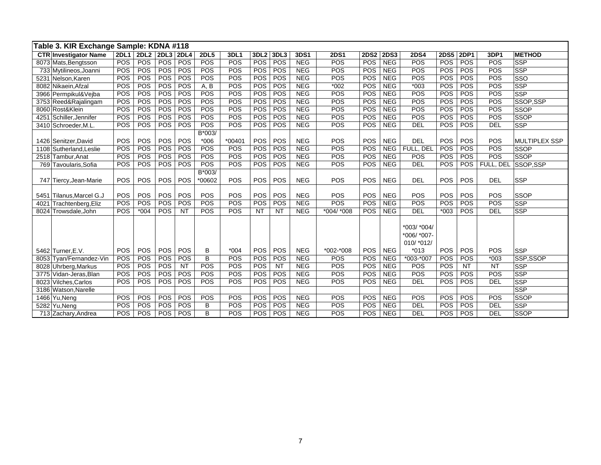|      | Table 3. KIR Exchange Sample: KDNA #118 |             |                  |                  |                          |             |             |                  |           |            |             |             |             |                 |             |             |            |                      |
|------|-----------------------------------------|-------------|------------------|------------------|--------------------------|-------------|-------------|------------------|-----------|------------|-------------|-------------|-------------|-----------------|-------------|-------------|------------|----------------------|
|      | <b>CTR Investigator Name</b>            | <b>2DL1</b> | 2DL <sub>2</sub> | <b>2DL3 2DL4</b> |                          | <b>2DL5</b> | <b>3DL1</b> | 3DL <sub>2</sub> | 3DL3      | 3DS1       | <b>2DS1</b> | <b>2DS2</b> | <b>2DS3</b> | <b>2DS4</b>     | <b>2DS5</b> | <b>2DP1</b> | 3DP1       | <b>METHOD</b>        |
|      | 8073 Mats, Bengtsson                    | POS         | POS              | <b>POS</b>       | POS                      | POS         | POS         | POS              | POS       | <b>NEG</b> | POS         | POS         | <b>NEG</b>  | POS             | POS         | POS         | POS        | SSP                  |
|      | 733 Mytilineos, Joanni                  | POS         | POS              | <b>POS</b>       | POS                      | POS         | POS         | POS              | POS       | <b>NEG</b> | POS         | POS         | <b>NEG</b>  | POS             | POS         | POS         | <b>POS</b> | <b>SSP</b>           |
|      | 5231 Nelson, Karen                      | POS         | POS              | POS              | POS                      | POS         | POS         | POS              | POS       | <b>NEG</b> | POS         | POS         | <b>NEG</b>  | POS             | POS         | POS         | POS        | <b>SSO</b>           |
|      | 8082 Nikaein, Afzal                     | POS         | POS              | POS              | POS                      | A, B        | POS         | POS              | POS       | <b>NEG</b> | $*002$      | POS         | <b>NEG</b>  | $*003$          | POS         | POS         | POS        | SSP                  |
|      | 3966 Permpikul&Vejba                    | POS         | POS              | POS              | POS                      | POS         | POS         | POS              | POS       | <b>NEG</b> | POS         | POS         | <b>NEG</b>  | POS             | POS         | POS         | POS        | <b>SSP</b>           |
|      | 3753 Reed&Rajalingam                    | POS         | POS              | POS              | POS                      | POS         | POS         | POS              | POS       | <b>NEG</b> | POS         | POS         | <b>NEG</b>  | POS             | POS         | POS         | POS        | SSOP,SSP             |
|      | 8060 Rost&Klein                         | POS         | POS              | POS              | POS                      | POS         | POS         | POS              | POS       | <b>NEG</b> | POS         | POS         | <b>NEG</b>  | POS             | POS         | POS         | POS        | <b>SSOP</b>          |
| 4251 | Schiller, Jennifer                      | POS         | POS              | <b>POS</b>       | POS                      | POS         | POS         | POS              | POS       | <b>NEG</b> | POS         | POS         | <b>NEG</b>  | POS             | POS         | <b>POS</b>  | POS        | SSOP                 |
|      | 3410 Schroeder, M.L.                    | POS         | POS              | POS              | POS                      | POS         | POS         | POS              | POS       | <b>NEG</b> | POS         | POS         | <b>NEG</b>  | <b>DEL</b>      | POS         | POS         | <b>DEL</b> | SSP                  |
|      |                                         |             |                  |                  |                          | B*003/      |             |                  |           |            |             |             |             |                 |             |             |            |                      |
|      | 1426 Senitzer, David                    | POS         | POS              | POS              | POS                      | $*006$      | $*00401$    | POS              | POS       | <b>NEG</b> | POS         | POS         | <b>NEG</b>  | <b>DEL</b>      | POS         | POS         | POS        | <b>MULTIPLEX SSP</b> |
|      | 1108 Sutherland, Leslie                 | POS         | POS              | POS              | POS                      | POS         | POS         | POS              | POS       | <b>NEG</b> | POS         | POS         | <b>NEG</b>  | FULL, DEL       | POS         | POS         | POS        | <b>SSOP</b>          |
|      | 2518 Tambur, Anat                       | POS         | POS              | POS              | POS                      | POS         | POS         | POS              | POS       | <b>NEG</b> | POS         | POS         | <b>NEG</b>  | POS             | POS         | POS         | POS        | SSOP                 |
|      | 769 Tavoularis, Sofia                   | POS         | POS              | POS              | POS                      | POS         | POS         | POS              | POS       | <b>NEG</b> | POS         | POS         | <b>NEG</b>  | <b>DEL</b>      | POS         | <b>POS</b>  | FULL, DEL  | SSOP,SSP             |
|      |                                         |             |                  |                  |                          | B*003/      |             |                  |           |            |             |             |             |                 |             |             |            |                      |
|      | 747 Tiercy, Jean-Marie                  | POS         | POS              | POS              | POS                      | *00602      | <b>POS</b>  | POS              | POS       | <b>NEG</b> | POS         | POS         | <b>NEG</b>  | <b>DEL</b>      | POS         | POS         | <b>DEL</b> | <b>SSP</b>           |
|      |                                         |             |                  |                  |                          |             |             |                  |           |            |             |             |             |                 |             |             |            |                      |
|      | 5451 Tilanus, Marcel G.J                | POS         | <b>POS</b>       | <b>POS</b>       | POS                      | POS         | POS         | POS              | POS       | <b>NEG</b> | <b>POS</b>  | POS         | <b>NEG</b>  | POS             | POS         | <b>POS</b>  | POS        | <b>SSOP</b>          |
| 4021 | Trachtenberg, Eliz                      | POS         | POS              | POS              | POS                      | POS         | POS         | POS              | POS       | <b>NEG</b> | POS         | POS         | <b>NEG</b>  | POS             | POS         | POS         | POS        | <b>SSP</b>           |
|      | 8024 Trowsdale, John                    | POS         | $*004$           | <b>POS</b>       | $\overline{\mathsf{NT}}$ | <b>POS</b>  | POS         | $\overline{NT}$  | NT        | <b>NEG</b> | *004/ *008  | POS         | <b>NEG</b>  | DEL             | $*003$      | POS         | <b>DEL</b> | SSP                  |
|      |                                         |             |                  |                  |                          |             |             |                  |           |            |             |             |             |                 |             |             |            |                      |
|      |                                         |             |                  |                  |                          |             |             |                  |           |            |             |             |             | *003/ *004/     |             |             |            |                      |
|      |                                         |             |                  |                  |                          |             |             |                  |           |            |             |             |             | $*006/$ $*007-$ |             |             |            |                      |
|      |                                         |             |                  |                  |                          |             |             |                  |           |            |             |             |             | 010/ *012/      |             |             |            |                      |
|      | 5462 Turner.E.V.                        | POS         | POS              | POS              | POS                      | B           | $*004$      | POS              | POS       | <b>NEG</b> | *002-*008   | POS         | <b>NEG</b>  | $*013$          | POS         | POS         | POS        | SSP                  |
|      | 8053 Tyan/Fernandez-Vin                 | POS         | POS              | POS              | POS                      | B           | POS         | POS              | POS       | <b>NEG</b> | POS         | POS         | <b>NEG</b>  | *003-*007       | POS         | POS         | $*003$     | SSP.SSOP             |
|      | 8028 Uhrberg, Markus                    | POS         | POS              | POS              | <b>NT</b>                | POS         | POS         | POS              | <b>NT</b> | <b>NEG</b> | POS         | POS         | <b>NEG</b>  | POS             | POS         | <b>NT</b>   | <b>NT</b>  | <b>SSP</b>           |
|      | 3775 Vidan-Jeras, Blan                  | POS         | POS              | POS              | POS                      | POS         | POS         | POS              | POS       | <b>NEG</b> | POS         | POS         | <b>NEG</b>  | POS             | POS         | <b>POS</b>  | <b>POS</b> | SSP                  |
|      | 8023 Vilches, Carlos                    | POS         | POS              | <b>POS</b>       | POS                      | POS         | POS         | POS              | POS       | <b>NEG</b> | POS         | POS         | <b>NEG</b>  | DEL             | POS         | POS         | <b>DEL</b> | SSP                  |
|      | 3186 Watson, Narelle                    |             |                  |                  |                          |             |             |                  |           |            |             |             |             |                 |             |             |            | <b>SSP</b>           |
|      | 1466 Yu, Neng                           | POS         | POS              | POS              | POS                      | POS         | POS         | POS              | POS       | <b>NEG</b> | POS         | POS         | <b>NEG</b>  | POS             | POS         | POS         | POS        | SSOP                 |
|      | 5282 Yu, Neng                           | POS         | POS              | POS              | POS                      | B           | POS         | POS              | POS       | <b>NEG</b> | POS         | POS         | <b>NEG</b>  | <b>DEL</b>      | POS         | POS         | <b>DEL</b> | SSP                  |
|      | 713 Zachary, Andrea                     | POS         | POS              | <b>POS</b>       | POS                      | B           | POS         | POS              | POS       | <b>NEG</b> | POS         | POS         | <b>NEG</b>  | <b>DEL</b>      | POS         | POS         | <b>DEL</b> | SSOP                 |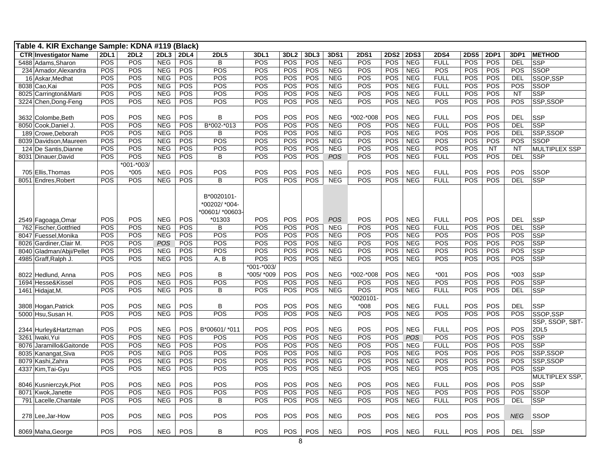| Table 4. KIR Exchange Sample: KDNA #119 (Black) |             |             |            |             |                |              |                  |            |            |             |             |             |             |             |      |            |                      |
|-------------------------------------------------|-------------|-------------|------------|-------------|----------------|--------------|------------------|------------|------------|-------------|-------------|-------------|-------------|-------------|------|------------|----------------------|
| <b>CTR Investigator Name</b>                    | <b>2DL1</b> | <b>2DL2</b> | 2DL3       | <b>2DL4</b> | <b>2DL5</b>    | 3DL1         | 3DL <sub>2</sub> | 3DL3       | 3DS1       | <b>2DS1</b> | <b>2DS2</b> | <b>2DS3</b> | <b>2DS4</b> | <b>2DS5</b> | 2DP1 | 3DP1       | <b>METHOD</b>        |
| 5488 Adams, Sharon                              | POS         | POS         | <b>NEG</b> | POS         | B              | POS          | POS              | POS        | <b>NEG</b> | POS         | POS         | <b>NEG</b>  | <b>FULL</b> | POS         | POS  | DEL        | <b>SSP</b>           |
| 234 Amador, Alexandra                           | POS         | POS         | <b>NEG</b> | POS         | POS            | POS          | POS              | POS        | <b>NEG</b> | POS         | POS         | <b>NEG</b>  | POS         | POS         | POS  | POS        | SSOP                 |
| 16 Askar, Medhat                                | POS         | POS         | <b>NEG</b> | POS         | POS            | POS          | POS              | POS        | <b>NEG</b> | POS         | POS         | <b>NEG</b>  | <b>FULL</b> | POS         | POS  | <b>DEL</b> | SSOP, SSP            |
| 8038 Cao, Kai                                   | POS         | POS         | <b>NEG</b> | POS         | POS            | POS          | POS              | POS        | <b>NEG</b> | POS         | POS         | <b>NEG</b>  | <b>FULL</b> | POS         | POS  | POS        | <b>SSOP</b>          |
| 8025 Carrington&Marti                           | POS         | POS         | <b>NEG</b> | POS         | POS            | POS          | POS              | POS        | <b>NEG</b> | POS         | POS         | <b>NEG</b>  | <b>FULL</b> | POS         | POS  | <b>NT</b>  | <b>SSP</b>           |
| 3224 Chen, Dong-Feng                            | POS         | POS         | <b>NEG</b> | POS         | <b>POS</b>     | POS          | POS              | POS        | <b>NEG</b> | POS         | POS         | <b>NEG</b>  | POS         | POS         | POS  | POS        | SSP,SSOP             |
|                                                 |             |             |            |             |                |              |                  |            |            |             |             |             |             |             |      |            |                      |
| 3632 Colombe, Beth                              | POS         | POS         | <b>NEG</b> | POS         | B              | POS          | POS              | POS        | <b>NEG</b> | *002-*008   | POS         | <b>NEG</b>  | <b>FULL</b> | POS         | POS  | <b>DEL</b> | <b>SSP</b>           |
| 8050 Cook, Daniel J.                            | POS         | POS         | <b>NEG</b> | POS         | B*002-*013     | POS          | POS              | POS        | NEG        | POS         | POS         | <b>NEG</b>  | <b>FULL</b> | POS         | POS  | <b>DEL</b> | SSP                  |
| 189 Crowe, Deborah                              | POS         | POS         | <b>NEG</b> | POS         | B              | POS          | POS              | POS        | <b>NEG</b> | POS         | POS         | <b>NEG</b>  | POS         | POS         | POS  | DEL        | SSP,SSOP             |
| 8039 Davidson, Maureen                          | POS         | POS         | <b>NEG</b> | POS         | POS            | POS          | POS              | POS        | <b>NEG</b> | POS         | POS         | <b>NEG</b>  | POS         | POS         | POS  | POS        | SSOP                 |
| 124 De Santis, Dianne                           | POS         | POS         | <b>NEG</b> | POS         | POS            | POS          | POS              | POS        | <b>NEG</b> | POS         | POS         | <b>NEG</b>  | POS         | POS         | NT   | <b>NT</b>  | <b>MULTIPLEX SSP</b> |
| 8031 Dinauer, David                             | POS         | POS         | <b>NEG</b> | POS         | B              | POS          | POS              | POS        | POS        | POS         | POS         | <b>NEG</b>  | <b>FULL</b> | POS         | POS  | <b>DEL</b> | <b>SSP</b>           |
|                                                 |             | *001-*003/  |            |             |                |              |                  |            |            |             |             |             |             |             |      |            |                      |
| 705 Ellis, Thomas                               | POS         | $*005$      | <b>NEG</b> | POS         | POS            | POS          | POS              | POS        | <b>NEG</b> | POS         | POS         | <b>NEG</b>  | <b>FULL</b> | POS         | POS  | POS        | <b>SSOP</b>          |
| 8051 Endres, Robert                             | POS         | POS         | <b>NEG</b> | POS         | B              | POS          | POS              | POS        | <b>NEG</b> | POS         | POS         | <b>NEG</b>  | <b>FULL</b> | POS         | POS  | <b>DEL</b> | <b>SSP</b>           |
|                                                 |             |             |            |             |                |              |                  |            |            |             |             |             |             |             |      |            |                      |
|                                                 |             |             |            |             | B*0020101-     |              |                  |            |            |             |             |             |             |             |      |            |                      |
|                                                 |             |             |            |             | *00202/ *004-  |              |                  |            |            |             |             |             |             |             |      |            |                      |
|                                                 |             |             |            |             | *00601/*00603- |              |                  |            |            |             |             |             |             |             |      |            |                      |
| 2549 Fagoaga, Omar                              | POS         | POS         | <b>NEG</b> | <b>POS</b>  | *01303         | POS          | <b>POS</b>       | POS        | POS        | POS         | POS         | <b>NEG</b>  | <b>FULL</b> | POS         | POS  | DEL        | <b>SSP</b>           |
| 762 Fischer, Gottfried                          | POS         | POS         | <b>NEG</b> | <b>POS</b>  | B              | POS          | POS              | POS        | <b>NEG</b> | POS         | POS         | <b>NEG</b>  | <b>FULL</b> | POS         | POS  | <b>DEL</b> | <b>SSP</b>           |
| 8047 Fuessel, Monika                            | POS         | POS         | <b>NEG</b> | POS         | POS            | POS          | POS              | POS        | NEG        | POS         | POS         | <b>NEG</b>  | POS         | POS         | POS  | POS        | <b>SSP</b>           |
| 8026 Gardiner, Clair M.                         | POS         | POS         | POS        | POS         | POS            | POS          | POS              | POS        | <b>NEG</b> | POS         | POS         | <b>NEG</b>  | POS         | POS         | POS  | POS        | <b>SSP</b>           |
| 8040 Gladman/Abji/Pellet                        | POS         | POS         | <b>NEG</b> | POS         | POS            | POS          | POS              | POS        | <b>NEG</b> | POS         | POS         | <b>NEG</b>  | POS         | POS         | POS  | POS        | <b>SSP</b>           |
| 4985 Graff, Ralph J.                            | POS         | POS         | <b>NEG</b> | <b>POS</b>  | A, B           | POS          | POS              | POS        | <b>NEG</b> | POS         | POS         | <b>NEG</b>  | POS         | POS         | POS  | POS        | <b>SSP</b>           |
|                                                 |             |             |            |             |                | $*001.*003/$ |                  |            |            |             |             |             |             |             |      |            |                      |
| 8022 Hedlund, Anna                              | POS         | POS         | <b>NEG</b> | POS         | В              | *005/ *009   | POS              | POS        | <b>NEG</b> | *002-*008   | POS         | <b>NEG</b>  | $*001$      | POS         | POS  | $*003$     | <b>SSP</b>           |
| 1694 Hesse&Kissel                               | POS         | POS         | <b>NEG</b> | POS         | POS            | POS          | POS              | POS        | <b>NEG</b> | POS         | POS         | <b>NEG</b>  | POS         | POS         | POS  | POS        | <b>SSP</b>           |
| 1461 Hidajat, M.                                | POS         | POS         | <b>NEG</b> | POS         | B              | POS          | POS              | POS        | NEG        | POS         | POS         | <b>NEG</b>  | <b>FULL</b> | POS         | POS  | <b>DEL</b> | <b>SSP</b>           |
|                                                 |             |             |            |             |                |              |                  |            |            | $*0020101-$ |             |             |             |             |      |            |                      |
| 3808 Hogan, Patrick                             | POS         | POS         | <b>NEG</b> | POS         | В              | POS          | POS              | POS        | <b>NEG</b> | $*008$      | POS         | <b>NEG</b>  | <b>FULL</b> | POS         | POS  | <b>DEL</b> | <b>SSP</b>           |
| 5000 Hsu, Susan H.                              | POS         | POS         | <b>NEG</b> | <b>POS</b>  | <b>POS</b>     | POS          | POS              | POS        | <b>NEG</b> | POS         | POS         | <b>NEG</b>  | POS         | POS         | POS  | <b>POS</b> | SSOP, SSP            |
|                                                 |             |             |            |             |                |              |                  |            |            |             |             |             |             |             |      |            | SSP, SSOP, SBT-      |
| 2344 Hurley&Hartzman                            | POS         | POS         | <b>NEG</b> | POS         | B*00601/ *011  | POS          | POS              | POS        | <b>NEG</b> | POS         | POS         | <b>NEG</b>  | <b>FULL</b> | POS         | POS  | POS        | 2DL5                 |
| 3261 Iwaki, Yui                                 | POS         | POS         | <b>NEG</b> | POS         | POS            | POS          | POS              | POS        | <b>NEG</b> | POS         | POS         | POS         | POS         | POS         | POS  | POS        | <b>SSP</b>           |
| 8076 Jaramillo& Gaitonde                        | POS         | POS         | <b>NEG</b> | <b>POS</b>  | POS            | POS          | POS              | POS        | <b>NEG</b> | POS         | POS         | <b>NEG</b>  | <b>FULL</b> | POS         | POS  | POS        | <b>SSP</b>           |
| 8035 Kanangat, Siva                             | POS         | POS         | <b>NEG</b> | <b>POS</b>  | POS            | POS          | POS              | POS        | <b>NEG</b> | POS         | <b>POS</b>  | <b>NEG</b>  | POS         | POS         | POS  | POS        | SSP,SSOP             |
| 8079 Kashi, Zahra                               | POS         | POS         | <b>NEG</b> | <b>POS</b>  | POS            | POS          | POS              | POS        | <b>NEG</b> | POS         | POS         | <b>NEG</b>  | POS         | POS         | POS  | POS        | SSP,SSOP             |
| 4337 Kim, Tai-Gyu                               | <b>POS</b>  | POS         | <b>NEG</b> | <b>POS</b>  | POS            | POS          | POS              | POS        | <b>NEG</b> | POS         | POS         | <b>NEG</b>  | POS         | POS         | POS  | <b>POS</b> | <b>SSP</b>           |
|                                                 |             |             |            |             |                |              |                  |            |            |             |             |             |             |             |      |            | MULTIPLEX SSP,       |
| 8046 Kusnierczyk, Piot                          | POS         | POS         | <b>NEG</b> | <b>POS</b>  | POS            | POS          | POS              | <b>POS</b> | <b>NEG</b> | POS         | POS         | NEG         | <b>FULL</b> | <b>POS</b>  | POS  | <b>POS</b> | <b>SSP</b>           |
| 8071 Kwok.Janette                               | POS         | POS         | <b>NEG</b> | POS         | POS            | POS          | POS              | POS        | <b>NEG</b> | POS         | POS         | <b>NEG</b>  | POS         | <b>POS</b>  | POS  | POS        | <b>SSOP</b>          |
| 791 Lacelle, Chantale                           | <b>POS</b>  | <b>POS</b>  | <b>NEG</b> | POS         | B              | POS          | <b>POS</b>       | POS        | <b>NEG</b> | POS         | POS         | <b>NEG</b>  | <b>FULL</b> | POS         | POS  | DEL        | <b>SSP</b>           |
|                                                 |             |             |            |             |                |              |                  |            |            |             |             |             |             |             |      |            |                      |
| 278 Lee, Jar-How                                | POS         | POS         | <b>NEG</b> | POS         | POS            | POS          | POS              | POS        | NEG        | POS         | POS         | <b>NEG</b>  | POS         | POS         | POS  | <b>NEG</b> | SSOP                 |
|                                                 |             |             |            |             |                |              |                  |            |            |             |             |             |             |             |      |            |                      |
| 8069 Maha, George                               | POS         | POS         | NEG        | POS         | В              | POS          | POS              | POS        | <b>NEG</b> | POS         | POS         | NEG         | <b>FULL</b> | POS         | POS  | DEL        | <b>SSP</b>           |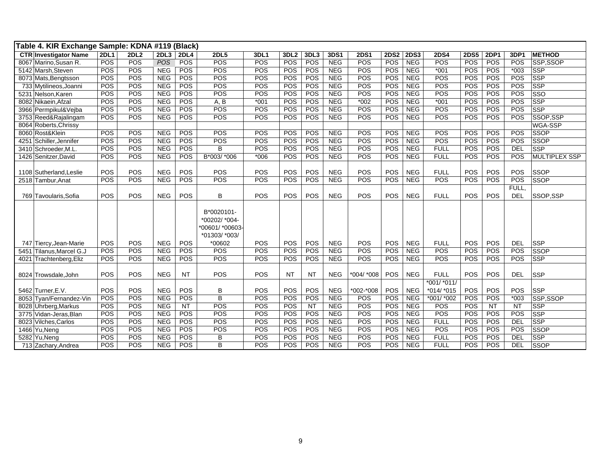| Table 4. KIR Exchange Sample: KDNA #119 (Black) |             |      |            |                 |                                                                |        |                  |           |            |             |             |             |                 |             |            |            |               |
|-------------------------------------------------|-------------|------|------------|-----------------|----------------------------------------------------------------|--------|------------------|-----------|------------|-------------|-------------|-------------|-----------------|-------------|------------|------------|---------------|
| <b>CTR Investigator Name</b>                    | <b>2DL1</b> | 2DL2 | 2DL3       | <b>2DL4</b>     | <b>2DL5</b>                                                    | 3DL1   | 3DL <sub>2</sub> | 3DL3      | 3DS1       | <b>2DS1</b> | <b>2DS2</b> | <b>2DS3</b> | <b>2DS4</b>     | <b>2DS5</b> | 2DP1       | 3DP1       | <b>METHOD</b> |
| 8067 Marino, Susan R.                           | POS         | POS  | POS        | <b>POS</b>      | POS                                                            | POS    | POS              | POS       | <b>NEG</b> | POS         | POS         | <b>NEG</b>  | POS             | POS         | POS        | POS        | SSP,SSOP      |
| 5142 Marsh, Steven                              | POS         | POS  | <b>NEG</b> | POS             | <b>POS</b>                                                     | POS    | POS              | POS       | <b>NEG</b> | POS         | POS         | <b>NEG</b>  | $*001$          | POS         | POS        | $*003$     | <b>SSP</b>    |
| 8073 Mats, Bengtsson                            | POS         | POS  | <b>NEG</b> | POS             | POS                                                            | POS    | POS              | POS       | <b>NEG</b> | POS         | POS         | <b>NEG</b>  | POS             | POS         | POS        | POS        | <b>SSP</b>    |
| 733 Mytilineos, Joanni                          | POS         | POS  | <b>NEG</b> | POS             | <b>POS</b>                                                     | POS    | POS              | POS       | <b>NEG</b> | POS         | POS         | <b>NEG</b>  | POS             | POS         | POS        | POS        | <b>SSP</b>    |
| 5231 Nelson, Karen                              | POS         | POS  | <b>NEG</b> | POS             | POS                                                            | POS    | POS              | POS       | <b>NEG</b> | POS         | POS         | <b>NEG</b>  | <b>POS</b>      | POS         | POS        | POS        | SSO           |
| 8082 Nikaein, Afzal                             | POS         | POS  | <b>NEG</b> | POS             | A, B                                                           | $*001$ | POS              | POS       | <b>NEG</b> | $*002$      | POS         | <b>NEG</b>  | $*001$          | POS         | POS        | POS        | <b>SSP</b>    |
| 3966 Permpikul&Vejba                            | POS         | POS  | <b>NEG</b> | POS             | <b>POS</b>                                                     | POS    | POS              | POS       | <b>NEG</b> | POS         | POS         | <b>NEG</b>  | POS             | POS         | POS        | POS        | <b>SSP</b>    |
| 3753 Reed&Rajalingam                            | POS         | POS  | <b>NEG</b> | POS             | POS                                                            | POS    | POS              | POS       | <b>NEG</b> | POS         | POS         | <b>NEG</b>  | POS             | POS         | POS        | POS        | SSOP,SSP      |
| 8064 Roberts, Chrissy                           |             |      |            |                 |                                                                |        |                  |           |            |             |             |             |                 |             |            |            | WGA-SSP       |
| 8060 Rost&Klein                                 | POS         | POS  | <b>NEG</b> | POS             | POS                                                            | POS    | POS              | POS       | <b>NEG</b> | POS         | POS         | <b>NEG</b>  | POS             | POS         | POS        | POS        | <b>SSOP</b>   |
| 4251 Schiller, Jennifer                         | POS         | POS  | <b>NEG</b> | POS             | <b>POS</b>                                                     | POS    | POS              | POS       | <b>NEG</b> | POS         | POS         | <b>NEG</b>  | POS             | POS         | POS        | POS        | <b>SSOP</b>   |
| 3410 Schroeder.M.L                              | POS         | POS  | <b>NEG</b> | POS             | B                                                              | POS    | POS              | POS       | <b>NEG</b> | POS         | POS         | <b>NEG</b>  | <b>FULL</b>     | POS         | POS        | <b>DEL</b> | <b>SSP</b>    |
| 1426 Senitzer, David                            | POS         | POS  | <b>NEG</b> | POS             | B*003/ *006                                                    | $*006$ | POS              | POS       | <b>NEG</b> | POS         | POS         | <b>NEG</b>  | <b>FULL</b>     | POS         | POS        | POS        | MULTIPLEX SSP |
|                                                 |             |      |            |                 |                                                                |        |                  |           |            |             |             |             |                 |             |            |            |               |
| 1108 Sutherland, Leslie                         | POS         | POS  | <b>NEG</b> | POS             | POS                                                            | POS    | POS              | POS       | <b>NEG</b> | POS         | POS         | <b>NEG</b>  | <b>FULL</b>     | POS         | POS        | POS        | <b>SSOP</b>   |
| 2518 Tambur.Anat                                | POS         | POS  | <b>NEG</b> | POS             | POS                                                            | POS    | POS              | POS       | <b>NEG</b> | POS         | POS         | <b>NEG</b>  | POS             | POS         | POS        | POS        | <b>SSOP</b>   |
|                                                 |             |      |            |                 |                                                                |        |                  |           |            |             |             |             |                 |             |            | FULL,      |               |
| 769 Tavoularis, Sofia                           | POS         | POS  | <b>NEG</b> | POS             | B                                                              | POS    | <b>POS</b>       | POS       | <b>NEG</b> | POS         | POS         | <b>NEG</b>  | <b>FULL</b>     | POS         | POS        | <b>DEL</b> | SSOP,SSP      |
|                                                 |             |      |            |                 | B*0020101-<br>*00202/ *004-<br>*00601/ *00603<br>*01303/ *003/ |        |                  |           |            |             |             |             |                 |             |            |            |               |
| 747 Tiercy, Jean-Marie                          | POS         | POS  | <b>NEG</b> | POS             | *00602                                                         | POS    | POS              | POS       | <b>NEG</b> | POS         | POS         | <b>NEG</b>  | <b>FULL</b>     | POS         | POS        | <b>DEL</b> | <b>SSP</b>    |
| 5451 Tilanus, Marcel G.J                        | POS         | POS  | <b>NEG</b> | POS             | POS                                                            | POS    | POS              | POS       | <b>NEG</b> | POS         | POS         | <b>NEG</b>  | POS             | POS         | POS        | POS        | <b>SSOP</b>   |
| 4021 Trachtenberg, Eliz                         | POS         | POS  | <b>NEG</b> | POS             | POS                                                            | POS    | POS              | POS       | <b>NEG</b> | POS         | <b>POS</b>  | <b>NEG</b>  | POS             | POS         | POS        | POS        | <b>SSP</b>    |
| 8024 Trowsdale, John                            | POS         | POS  | <b>NEG</b> | <b>NT</b>       | <b>POS</b>                                                     | POS    | <b>NT</b>        | <b>NT</b> | <b>NEG</b> | *004/ *008  | POS         | <b>NEG</b>  | <b>FULL</b>     | POS         | POS        | <b>DEL</b> | <b>SSP</b>    |
|                                                 |             |      |            |                 |                                                                |        |                  |           |            |             |             |             | *001/ *011/     |             |            |            |               |
| 5462 Turner, E.V.                               | POS         | POS  | <b>NEG</b> | POS             | B                                                              | POS    | POS              | POS       | <b>NEG</b> | *002-*008   | POS         | <b>NEG</b>  | $*014$ / $*015$ | POS         | POS        | POS        | <b>SSP</b>    |
| 8053 Tyan/Fernandez-Vin                         | POS         | POS  | <b>NEG</b> | <b>POS</b>      | $\overline{B}$                                                 | POS    | <b>POS</b>       | POS       | <b>NEG</b> | POS         | <b>POS</b>  | <b>NEG</b>  | *001/ *002      | POS         | POS        | $*003$     | SSP,SSOP      |
| 8028 Uhrberg, Markus                            | POS         | POS  | <b>NEG</b> | $\overline{NT}$ | POS                                                            | POS    | POS              | NT        | <b>NEG</b> | POS         | POS         | <b>NEG</b>  | <b>POS</b>      | POS         | <b>NT</b>  | <b>NT</b>  | <b>SSP</b>    |
| 3775 Vidan-Jeras, Blan                          | <b>POS</b>  | POS  | <b>NEG</b> | <b>POS</b>      | <b>POS</b>                                                     | POS    | POS              | POS       | <b>NEG</b> | POS         | <b>POS</b>  | <b>NEG</b>  | <b>POS</b>      | <b>POS</b>  | <b>POS</b> | <b>POS</b> | <b>SSP</b>    |
| 8023 Vilches, Carlos                            | POS         | POS  | <b>NEG</b> | POS             | POS                                                            | POS    | POS              | POS       | <b>NEG</b> | POS         | <b>POS</b>  | <b>NEG</b>  | <b>FULL</b>     | POS         | POS        | <b>DEL</b> | <b>SSP</b>    |
| 1466 Yu, Neng                                   | POS         | POS  | <b>NEG</b> | <b>POS</b>      | <b>POS</b>                                                     | POS    | POS              | POS       | NEG        | POS         | <b>POS</b>  | NEG         | <b>POS</b>      | POS         | POS        | POS        | <b>SSOP</b>   |
| 5282 Yu, Neng                                   | POS         | POS  | <b>NEG</b> | POS             | B                                                              | POS    | POS              | POS       | <b>NEG</b> | POS         | POS         | <b>NEG</b>  | <b>FULL</b>     | POS         | POS        | <b>DEL</b> | <b>SSP</b>    |
| 713 Zachary, Andrea                             | POS         | POS  | <b>NEG</b> | POS             | B                                                              | POS    | POS              | POS       | <b>NEG</b> | POS         | <b>POS</b>  | <b>NEG</b>  | <b>FULL</b>     | POS         | POS        | DEL        | SSOP          |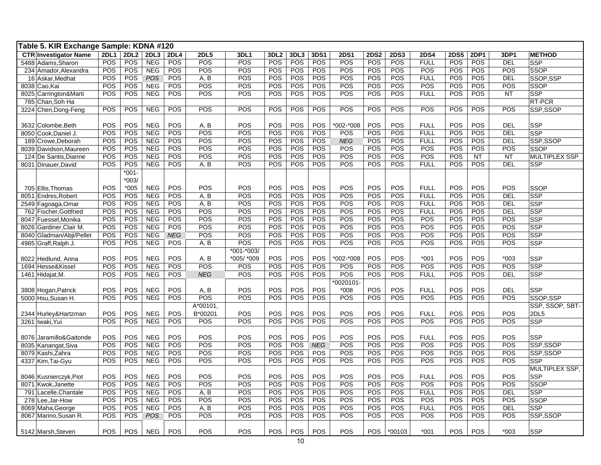| Table 5. KIR Exchange Sample: KDNA #120 |             |            |            |             |             |            |                  |            |            |             |             |             |             |             |             |            |                      |
|-----------------------------------------|-------------|------------|------------|-------------|-------------|------------|------------------|------------|------------|-------------|-------------|-------------|-------------|-------------|-------------|------------|----------------------|
| <b>CTR Investigator Name</b>            | <b>2DL1</b> | 2DL2       | 2DL3       | <b>2DL4</b> | <b>2DL5</b> | 3DL1       | 3DL <sub>2</sub> | 3DL3       | 3DS1       | <b>2DS1</b> | <b>2DS2</b> | <b>2DS3</b> | <b>2DS4</b> | <b>2DS5</b> | <b>2DP1</b> | 3DP1       | <b>METHOD</b>        |
| 5488 Adams, Sharon                      | POS         | POS        | <b>NEG</b> | POS         | POS         | POS        | POS              | POS        | POS        | POS         | POS         | POS         | <b>FULL</b> | POS         | POS         | <b>DEL</b> | <b>SSP</b>           |
| 234 Amador, Alexandra                   | POS         | POS        | <b>NEG</b> | POS         | POS         | POS        | POS              | POS        | POS        | POS         | POS         | POS         | POS         | POS         | POS         | POS        | <b>SSOP</b>          |
| 16 Askar, Medhat                        | POS         | POS        | POS        | POS         | A, B        | POS        | POS              | POS        | POS        | POS         | POS         | POS         | <b>FULL</b> | POS         | POS         | <b>DEL</b> | SSOP,SSP             |
| 8038 Cao, Kai                           | POS         | POS        | <b>NEG</b> | POS         | POS         | POS        | POS              | POS        | POS        | POS         | POS         | POS         | POS         | POS         | POS         | POS        | <b>SSOP</b>          |
| 8025 Carrington&Marti                   | POS         | POS        | <b>NEG</b> | POS         | POS         | POS        | POS              | POS        | POS        | POS         | POS         | POS         | <b>FULL</b> | POS         | POS         | <b>NT</b>  | <b>SSP</b>           |
| 785 Chan, Soh Ha                        |             |            |            |             |             |            |                  |            |            |             |             |             |             |             |             |            | RT-PCR               |
| 3224 Chen, Dong-Feng                    | POS         | POS        | <b>NEG</b> | POS         | POS         | POS        | <b>POS</b>       | POS        | POS        | POS         | POS         | <b>POS</b>  | POS         | POS         | POS         | POS        | SSP,SSOP             |
|                                         |             |            |            |             |             |            |                  |            |            |             |             |             |             |             |             |            |                      |
| 3632 Colombe, Beth                      | POS         | POS        | <b>NEG</b> | POS         | A, B        | POS        | <b>POS</b>       | POS        | POS        | *002-*008   | POS         | POS         | <b>FULL</b> | POS         | POS         | <b>DEL</b> | <b>SSP</b>           |
| 8050 Cook, Daniel J.                    | POS         | POS        | <b>NEG</b> | POS         | POS         | POS        | POS              | POS        | POS        | POS         | POS         | POS         | <b>FULL</b> | POS         | POS         | <b>DEL</b> | <b>SSP</b>           |
| 189 Crowe, Deborah                      | POS         | POS        | <b>NEG</b> | POS         | POS         | POS        | POS              | POS        | POS        | NEG         | POS         | POS         | <b>FULL</b> | POS         | POS         | DEL        | SSP,SSOP             |
| 8039 Davidson, Maureen                  | POS         | POS        | <b>NEG</b> | POS         | POS         | POS        | POS              | POS        | POS        | POS         | POS         | POS         | POS         | POS         | POS         | POS        | <b>SSOP</b>          |
| 124 De Santis, Dianne                   | POS         | POS        | <b>NEG</b> | POS         | POS         | POS        | POS              | POS        | POS        | POS         | POS         | POS         | POS         | POS         | NT          | <b>NT</b>  | <b>MULTIPLEX SSP</b> |
| 8031 Dinauer, David                     | POS         | POS        | <b>NEG</b> | POS         | A, B        | POS        | POS              | POS        | POS        | POS         | POS         | POS         | <b>FULL</b> | POS         | POS         | <b>DEL</b> | <b>SSP</b>           |
|                                         |             | $*001 -$   |            |             |             |            |                  |            |            |             |             |             |             |             |             |            |                      |
|                                         |             | $*003/$    |            |             |             |            |                  |            |            |             |             |             |             |             |             |            |                      |
| 705 Ellis, Thomas                       | POS         | $*005$     | <b>NEG</b> | POS         | POS         | POS        | <b>POS</b>       | POS        | POS        | POS         | POS         | POS         | <b>FULL</b> | POS         | <b>POS</b>  | <b>POS</b> | <b>SSOP</b>          |
| 8051 Endres, Robert                     | POS         | POS        | <b>NEG</b> | POS         | A, B        | POS        | POS              | POS        | POS        | POS         | POS         | POS         | <b>FULL</b> | POS         | POS         | <b>DEL</b> | <b>SSP</b>           |
| 2549 Fagoaga, Omar                      | POS         | POS        | <b>NEG</b> | POS         | A, B        | POS        | POS              | POS        | POS        | POS         | POS         | POS         | <b>FULL</b> | POS         | POS         | DEL        | <b>SSP</b>           |
| 762 Fischer, Gottfried                  | POS         | POS        | <b>NEG</b> | POS         | POS         | POS        | POS              | POS        | POS        | POS         | POS         | POS         | <b>FULL</b> | POS         | POS         | <b>DEL</b> | <b>SSP</b>           |
| 8047 Fuessel, Monika                    | POS         | POS        | <b>NEG</b> | POS         | POS         | POS        | POS              | POS        | POS        | POS         | POS         | POS         | POS         | POS         | POS         | POS        | <b>SSP</b>           |
| 8026 Gardiner, Clair M.                 | POS         | POS        | <b>NEG</b> | POS         | POS         | POS        | POS              | POS        | POS        | POS         | POS         | POS         | POS         | POS         | POS         | POS        | <b>SSP</b>           |
| 8040 Gladman/Abji/Pellet                | POS         | <b>POS</b> | <b>NEG</b> | <b>NEG</b>  | POS         | POS        | POS              | POS        | POS        | POS         | POS         | POS         | POS         | POS         | POS         | POS        | <b>SSP</b>           |
| 4985 Graff, Ralph J.                    | POS         | POS        | <b>NEG</b> | POS         | A, B        | POS        | POS              | POS        | POS        | POS         | POS         | POS         | POS         | POS         | POS         | POS        | <b>SSP</b>           |
|                                         |             |            |            |             |             | *001-*003/ |                  |            |            |             |             |             |             |             |             |            |                      |
| 8022 Hedlund, Anna                      | POS         | POS        | <b>NEG</b> | POS         | A, B        | *005/ *009 | POS              | POS        | POS        | *002-*008   | POS         | POS         | $*001$      | POS         | POS         | $*003$     | <b>SSP</b>           |
| 1694 Hesse&Kissel                       | POS         | POS        | <b>NEG</b> | POS         | POS         | POS        | POS              | POS        | POS        | POS         | POS         | POS         | POS         | POS         | POS         | POS        | <b>SSP</b>           |
| 1461 Hidajat, M.                        | POS         | POS        | <b>NEG</b> | POS         | <b>NEG</b>  | POS        | POS              | POS        | POS        | POS         | POS         | POS         | <b>FULL</b> | POS         | POS         | <b>DEL</b> | <b>SSP</b>           |
|                                         |             |            |            |             |             |            |                  |            |            | *0020101-   |             |             |             |             |             |            |                      |
| 3808 Hogan, Patrick                     | POS         | POS        | <b>NEG</b> | POS         | A, B        | POS        | POS              | POS        | POS        | $*008$      | POS         | POS         | <b>FULL</b> | POS         | POS         | <b>DEL</b> | <b>SSP</b>           |
| 5000 Hsu, Susan H.                      | POS         | <b>POS</b> | NEG        | POS         | POS         | <b>POS</b> | <b>POS</b>       | POS        | POS        | POS         | <b>POS</b>  | <b>POS</b>  | POS         | POS         | POS         | POS        | SSOP,SSP             |
|                                         |             |            |            |             | A*00101,    |            |                  |            |            |             |             |             |             |             |             |            | SSP, SSOP, SBT-      |
| 2344 Hurley&Hartzman                    | POS         | POS        | <b>NEG</b> | POS         | B*00201     | POS        | POS              | POS        | POS        | POS         | POS         | POS         | <b>FULL</b> | POS         | POS         | POS        | 2DL5                 |
| 3261 Iwaki, Yui                         | POS         | POS        | <b>NEG</b> | POS         | POS         | POS        | POS              | POS        | POS        | POS         | POS         | POS         | POS         | POS         | POS         | POS        | <b>SSP</b>           |
|                                         |             |            |            |             |             |            |                  |            |            |             |             |             |             |             |             |            |                      |
| 8076 Jaramillo&Gaitonde                 | POS         | POS        | <b>NEG</b> | POS         | POS         | POS        | POS              | POS        | POS        | POS         | POS         | POS         | <b>FULL</b> | POS         | POS         | POS        | <b>SSP</b>           |
| 8035 Kanangat, Siva                     | POS         | POS        | <b>NEG</b> | POS         | POS         | POS        | <b>POS</b>       | POS        | <b>NEG</b> | POS         | POS         | POS         | POS         | POS         | POS         | POS        | SSP,SSOP             |
| 8079 Kashi, Zahra                       | POS         | POS        | <b>NEG</b> | POS         | POS         | POS        | POS              | POS        | POS        | POS         | POS         | POS         | POS         | POS         | POS         | POS        | SSP,SSOP             |
| 4337 Kim, Tai-Gyu                       | POS         | POS        | <b>NEG</b> | POS         | POS         | POS        | POS              | POS        | POS        | POS         | POS         | POS         | POS         | POS         | POS         | POS        | <b>SSP</b>           |
|                                         |             |            |            |             |             |            |                  |            |            |             |             |             |             |             |             |            | MULTIPLEX SSP,       |
| 8046 Kusnierczyk, Piot                  | POS         | POS        | <b>NEG</b> | POS         | POS         | POS        | POS              | POS        | POS        | POS         | POS         | POS         | <b>FULL</b> | POS         | POS         | POS        | <b>SSP</b>           |
| 8071 Kwok, Janette                      | POS         | POS        | NEG        | POS         | POS         | POS        | POS              | POS        | POS        | POS         | POS         | POS         | POS         | POS         | POS         | POS        | <b>SSOP</b>          |
| 791 Lacelle, Chantale                   | POS         | POS        | <b>NEG</b> | POS         | A, B        | POS        | POS              | POS        | POS        | POS         | POS         | POS         | <b>FULL</b> | POS         | POS         | <b>DEL</b> | <b>SSP</b>           |
| 278 Lee, Jar-How                        | POS         | POS        | NEG        | POS         | POS         | POS        | POS              | POS        | POS        | POS         | <b>POS</b>  | POS         | POS         | POS         | POS         | POS        | <b>SSOP</b>          |
| 8069 Maha, George                       | POS         | <b>POS</b> | <b>NEG</b> | POS         | A, B        | POS        | POS              | POS        | POS        | POS         | POS         | POS         | <b>FULL</b> | POS         | POS         | <b>DEL</b> | <b>SSP</b>           |
| 8067 Marino, Susan R.                   | POS         | POS        | <b>POS</b> | POS         | POS         | POS        | POS              | <b>POS</b> | POS        | POS         | <b>POS</b>  | POS         | POS         | POS         | POS         | POS        | SSP,SSOP             |
|                                         |             |            |            |             |             |            |                  |            |            |             |             |             |             |             |             |            |                      |
| 5142 Marsh, Steven                      | POS         | POS        | <b>NEG</b> | POS         | POS         | POS        | POS              | POS        | POS        | POS         | POS         | $*00103$    | $*001$      | POS         | POS         | $*003$     | <b>SSP</b>           |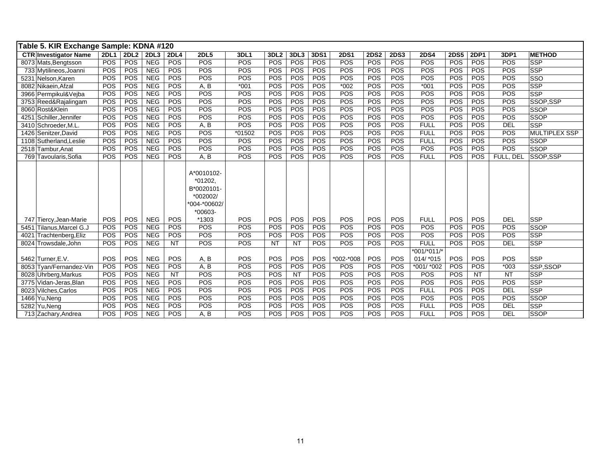|      | Table 5. KIR Exchange Sample: KDNA #120            |             |                  |            |             |                                                                                      |        |                  |           |      |             |             |             |               |             |             |            |                      |
|------|----------------------------------------------------|-------------|------------------|------------|-------------|--------------------------------------------------------------------------------------|--------|------------------|-----------|------|-------------|-------------|-------------|---------------|-------------|-------------|------------|----------------------|
|      | <b>CTR Investigator Name</b>                       | <b>2DL1</b> | 2DL <sub>2</sub> | 2DL3       | <b>2DL4</b> | <b>2DL5</b>                                                                          | 3DL1   | 3DL <sub>2</sub> | 3DL3      | 3DS1 | <b>2DS1</b> | <b>2DS2</b> | <b>2DS3</b> | <b>2DS4</b>   | <b>2DS5</b> | <b>2DP1</b> | 3DP1       | <b>METHOD</b>        |
|      | 8073 Mats, Bengtsson                               | POS         | <b>POS</b>       | <b>NEG</b> | POS         | POS                                                                                  | POS    | POS              | POS       | POS  | <b>POS</b>  | POS         | POS         | POS           | POS         | POS         | POS        | <b>SSP</b>           |
|      | 733 Mytilineos, Joanni                             | POS         | POS              | <b>NEG</b> | POS         | POS                                                                                  | POS    | POS              | POS       | POS  | POS         | POS         | <b>POS</b>  | POS           | POS         | POS         | POS        | <b>SSP</b>           |
|      | 5231 Nelson, Karen                                 | POS         | POS              | <b>NEG</b> | POS         | POS                                                                                  | POS    | POS              | POS       | POS  | POS         | POS         | POS         | POS           | POS         | POS         | POS        | SSO                  |
|      | 8082 Nikaein, Afzal                                | POS         | POS              | <b>NEG</b> | POS         | A, B                                                                                 | $*001$ | POS              | POS       | POS  | $*002$      | POS         | POS         | $*001$        | POS         | POS         | POS        | <b>SSP</b>           |
|      | 3966 Permpikul&Vejba                               | POS         | POS              | <b>NEG</b> | POS         | POS                                                                                  | POS    | POS              | POS       | POS  | POS         | POS         | POS         | POS           | POS         | POS         | POS        | <b>SSP</b>           |
|      | 3753 Reed&Rajalingam                               | POS         | <b>POS</b>       | <b>NEG</b> | POS         | POS                                                                                  | POS    | POS              | POS       | POS  | POS         | POS         | POS         | POS           | POS         | POS         | POS        | SSOP.SSP             |
|      | 8060 Rost&Klein                                    | POS         | POS              | <b>NEG</b> | POS         | POS                                                                                  | POS    | POS              | POS       | POS  | POS         | POS         | POS         | POS           | POS         | POS         | POS        | <b>SSOP</b>          |
|      | 4251 Schiller, Jennifer                            | POS         | POS              | <b>NEG</b> | POS         | POS                                                                                  | POS    | POS              | POS       | POS  | POS         | POS         | POS         | POS           | POS         | POS         | POS        | <b>SSOP</b>          |
|      | 3410 Schroeder, M.L.                               | POS         | POS              | <b>NEG</b> | POS         | A, B                                                                                 | POS    | POS              | POS       | POS  | POS         | POS         | POS         | <b>FULL</b>   | POS         | POS         | <b>DEL</b> | <b>SSP</b>           |
|      | 1426 Senitzer, David                               | POS         | POS              | <b>NEG</b> | POS         | POS                                                                                  | *01502 | POS              | POS       | POS  | POS         | POS         | POS         | <b>FULL</b>   | POS         | POS         | POS        | <b>MULTIPLEX SSP</b> |
|      | 1108 Sutherland, Leslie                            | POS         | <b>POS</b>       | <b>NEG</b> | POS         | POS                                                                                  | POS    | POS              | POS       | POS  | <b>POS</b>  | POS         | POS         | <b>FULL</b>   | POS         | POS         | POS        | <b>SSOP</b>          |
|      | 2518 Tambur, Anat                                  | POS         | POS              | <b>NEG</b> | POS         | POS                                                                                  | POS    | POS              | POS       | POS  | POS         | POS         | <b>POS</b>  | POS           | POS         | POS         | POS        | <b>SSOP</b>          |
|      | 769 Tavoularis, Sofia                              | POS         | <b>POS</b>       | <b>NEG</b> | POS         | A, B                                                                                 | POS    | POS              | POS       | POS  | POS         | <b>POS</b>  | POS         | <b>FULL</b>   | <b>POS</b>  | POS         | FULL, DEL  | SSOP.SSP             |
|      |                                                    | POS         | POS              | <b>NEG</b> | POS         | A*0010102-<br>*01202,<br>B*0020101<br>*002002/<br>*004-*00602/<br>$*00603-$<br>*1303 | POS    | POS              | POS       | POS  | <b>POS</b>  | POS         | POS         | <b>FULL</b>   | POS         | POS         | <b>DEL</b> | <b>SSP</b>           |
|      | 747 Tiercy, Jean-Marie<br>5451 Tilanus, Marcel G.J | POS         | POS              | <b>NEG</b> | POS         | POS                                                                                  | POS    | POS              | POS       | POS  | POS         | POS         | POS         | POS           | POS         | POS         | POS        | <b>SSOP</b>          |
| 4021 | Trachtenberg, Eliz                                 | POS         | POS              | <b>NEG</b> | <b>POS</b>  | POS                                                                                  | POS    | POS              | POS       | POS  | POS         | POS         | <b>POS</b>  | POS           | POS         | POS         | POS        | <b>SSP</b>           |
|      | 8024 Trowsdale, John                               | POS         | <b>POS</b>       | <b>NEG</b> | <b>NT</b>   | POS                                                                                  | POS    | <b>NT</b>        | <b>NT</b> | POS  | <b>POS</b>  | POS         | <b>POS</b>  | <b>FULL</b>   | POS         | POS         | <b>DEL</b> | <b>SSP</b>           |
|      |                                                    |             |                  |            |             |                                                                                      |        |                  |           |      |             |             |             | $*001/*011/*$ |             |             |            |                      |
|      | 5462 Turner, E.V.                                  | POS         | POS              | <b>NEG</b> | POS         | A, B                                                                                 | POS    | POS              | POS       | POS  | *002-*008   | POS         | POS         | 014/ *015     | POS         | POS         | POS        | <b>SSP</b>           |
|      | 8053 Tyan/Fernandez-Vin                            | POS         | <b>POS</b>       | <b>NEG</b> | POS         | A, B                                                                                 | POS    | POS              | POS       | POS  | <b>POS</b>  | POS         | POS         | *001/ *002    | POS         | POS         | $*003$     | SSP,SSOP             |
|      | 8028 Uhrberg, Markus                               | POS         | <b>POS</b>       | <b>NEG</b> | <b>NT</b>   | POS                                                                                  | POS    | POS              | <b>NT</b> | POS  | <b>POS</b>  | POS         | POS         | POS           | POS         | <b>NT</b>   | <b>NT</b>  | <b>SSP</b>           |
|      | 3775 Vidan-Jeras, Blan                             | POS         | POS              | <b>NEG</b> | POS         | POS                                                                                  | POS    | POS              | POS       | POS  | POS         | POS         | <b>POS</b>  | POS           | POS         | POS         | POS        | <b>SSP</b>           |
|      | 8023 Vilches, Carlos                               | POS         | POS              | <b>NEG</b> | POS         | POS                                                                                  | POS    | POS              | POS       | POS  | <b>POS</b>  | POS         | POS         | <b>FULL</b>   | POS         | POS         | <b>DEL</b> | <b>SSP</b>           |
|      | 1466 Yu, Neng                                      | POS         | <b>POS</b>       | <b>NEG</b> | POS         | POS                                                                                  | POS    | POS              | POS       | POS  | <b>POS</b>  | POS         | <b>POS</b>  | POS           | POS         | <b>POS</b>  | POS        | <b>SSOP</b>          |
|      | 5282 Yu.Nena                                       | POS         | POS              | <b>NEG</b> | POS         | POS                                                                                  | POS    | POS              | POS       | POS  | POS         | POS         | POS         | <b>FULL</b>   | POS         | POS         | <b>DEL</b> | <b>SSP</b>           |
|      | 713 Zachary, Andrea                                | POS         | <b>POS</b>       | <b>NEG</b> | POS         | A, B                                                                                 | POS    | POS              | POS       | POS  | POS         | POS         | POS         | <b>FULL</b>   | POS         | POS         | <b>DEL</b> | <b>SSOP</b>          |